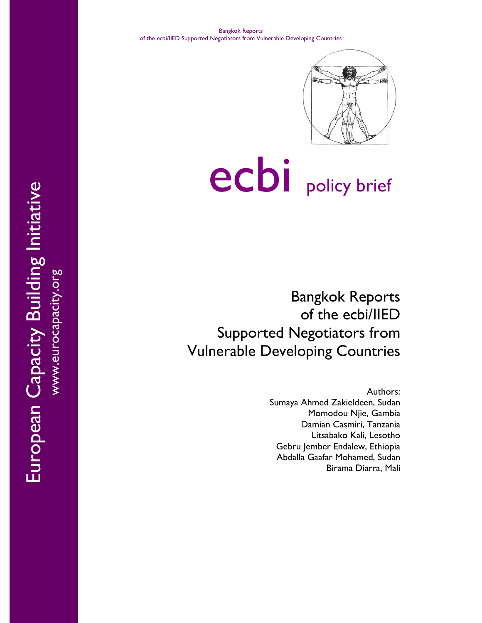

# ecbi policy brief

Bangkok Reports of the ecbi/IIED Supported Negotiators from Vulnerable Developing Countries

> Authors: Sumaya Ahmed Zakieldeen, Sudan Momodou Njie, Gambia Damian Casmiri, Tanzania Litsabako Kali, Lesotho Gebru Jember Endalew, Ethiopia Abdalla Gaafar Mohamed, Sudan Birama Diarra, Mali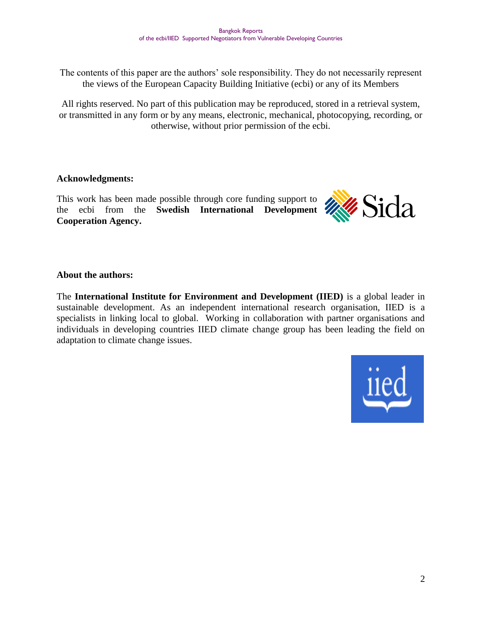The contents of this paper are the authors' sole responsibility. They do not necessarily represent the views of the European Capacity Building Initiative (ecbi) or any of its Members

All rights reserved. No part of this publication may be reproduced, stored in a retrieval system, or transmitted in any form or by any means, electronic, mechanical, photocopying, recording, or otherwise, without prior permission of the ecbi.

#### **Acknowledgments:**

This work has been made possible through core funding support to the ecbi from the **Swedish International Development XXX Cooperation Agency.**



#### **About the authors:**

The **International Institute for Environment and Development (IIED)** is a global leader in sustainable development. As an independent international research organisation, IIED is a specialists in linking local to global. Working in collaboration with partner organisations and individuals in developing countries IIED climate change group has been leading the field on adaptation to climate change issues.

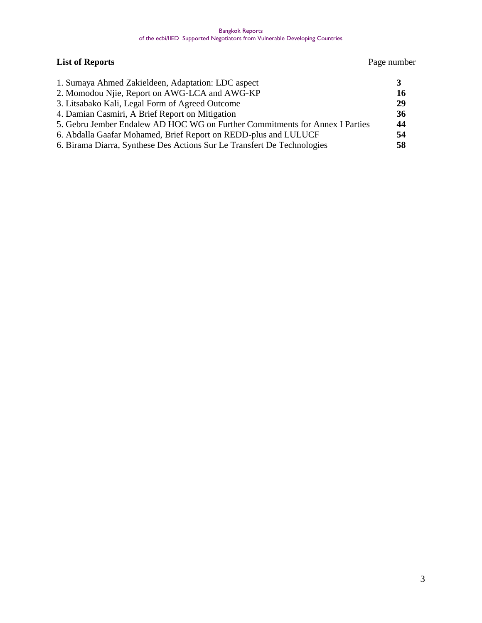## **List of Reports** Page number

| 1. Sumaya Ahmed Zakieldeen, Adaptation: LDC aspect                           |     |
|------------------------------------------------------------------------------|-----|
| 2. Momodou Njie, Report on AWG-LCA and AWG-KP                                | 16  |
| 3. Litsabako Kali, Legal Form of Agreed Outcome                              | 29  |
| 4. Damian Casmiri, A Brief Report on Mitigation                              | 36  |
| 5. Gebru Jember Endalew AD HOC WG on Further Commitments for Annex I Parties | 44  |
| 6. Abdalla Gaafar Mohamed, Brief Report on REDD-plus and LULUCF              | 54  |
| 6. Birama Diarra, Synthese Des Actions Sur Le Transfert De Technologies      | 58. |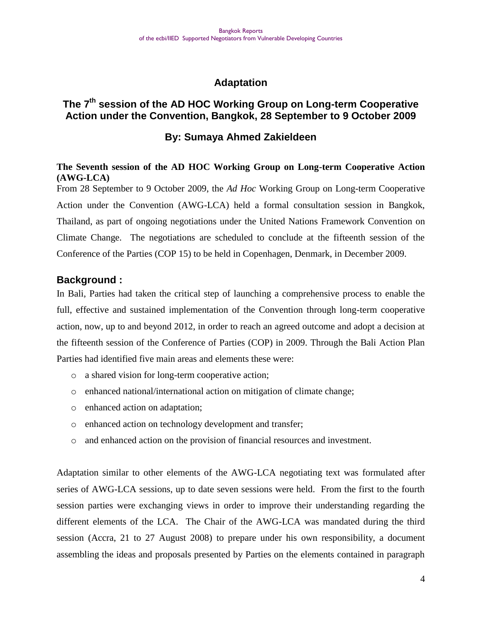# **Adaptation**

# **The 7th session of the AD HOC Working Group on Long-term Cooperative Action under the Convention, Bangkok, 28 September to 9 October 2009**

## **By: Sumaya Ahmed Zakieldeen**

#### **The Seventh session of the AD HOC Working Group on Long-term Cooperative Action (AWG-LCA)**

From 28 September to 9 October 2009, the *Ad Hoc* Working Group on Long-term Cooperative Action under the Convention (AWG-LCA) held a formal consultation session in Bangkok, Thailand, as part of ongoing negotiations under the United Nations Framework Convention on Climate Change. The negotiations are scheduled to conclude at the fifteenth session of the Conference of the Parties (COP 15) to be held in Copenhagen, Denmark, in December 2009.

## **Background :**

In Bali, Parties had taken the critical step of launching a comprehensive process to enable the full, effective and sustained implementation of the Convention through long-term cooperative action, now, up to and beyond 2012, in order to reach an agreed outcome and adopt a decision at the fifteenth session of the Conference of Parties (COP) in 2009. Through the Bali Action Plan Parties had identified five main areas and elements these were:

- o a shared vision for long-term cooperative action;
- o enhanced national/international action on mitigation of climate change;
- o enhanced action on adaptation;
- o enhanced action on technology development and transfer;
- o and enhanced action on the provision of financial resources and investment.

Adaptation similar to other elements of the AWG-LCA negotiating text was formulated after series of AWG-LCA sessions, up to date seven sessions were held. From the first to the fourth session parties were exchanging views in order to improve their understanding regarding the different elements of the LCA. The Chair of the AWG-LCA was mandated during the third session (Accra, 21 to 27 August 2008) to prepare under his own responsibility, a document assembling the ideas and proposals presented by Parties on the elements contained in paragraph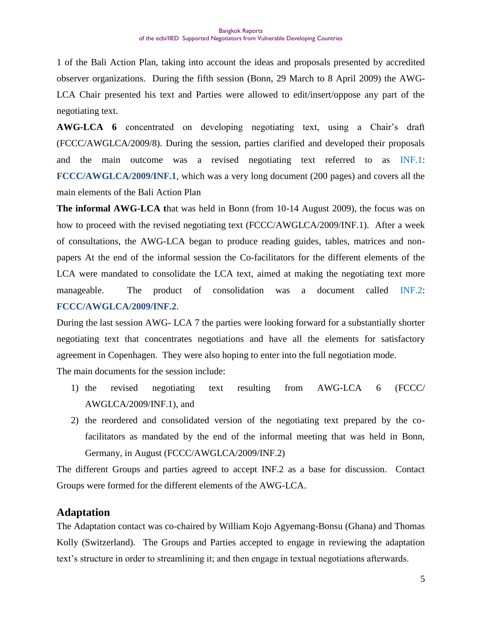1 of the Bali Action Plan, taking into account the ideas and proposals presented by accredited observer organizations. During the fifth session (Bonn, 29 March to 8 April 2009) the AWG-LCA Chair presented his text and Parties were allowed to edit/insert/oppose any part of the negotiating text.

AWG-LCA 6 concentrated on developing negotiating text, using a Chair's draft (FCCC/AWGLCA/2009/8). During the session, parties clarified and developed their proposals and the main outcome was a revised negotiating text referred to as INF.1: **FCCC/AWGLCA/2009/INF.1**, which was a very long document (200 pages) and covers all the main elements of the Bali Action Plan

**The informal AWG-LCA t**hat was held in Bonn (from 10-14 August 2009), the focus was on how to proceed with the revised negotiating text (FCCC/AWGLCA/2009/INF.1). After a week of consultations, the AWG-LCA began to produce reading guides, tables, matrices and nonpapers At the end of the informal session the Co-facilitators for the different elements of the LCA were mandated to consolidate the LCA text, aimed at making the negotiating text more manageable. The product of consolidation was a document called INF.2: **FCCC/AWGLCA/2009/INF.2**.

During the last session AWG- LCA 7 the parties were looking forward for a substantially shorter negotiating text that concentrates negotiations and have all the elements for satisfactory agreement in Copenhagen. They were also hoping to enter into the full negotiation mode.

The main documents for the session include:

- 1) the revised negotiating text resulting from AWG-LCA 6 (FCCC/ AWGLCA/2009/INF.1), and
- 2) the reordered and consolidated version of the negotiating text prepared by the cofacilitators as mandated by the end of the informal meeting that was held in Bonn, Germany, in August (FCCC/AWGLCA/2009/INF.2)

The different Groups and parties agreed to accept INF.2 as a base for discussion. Contact Groups were formed for the different elements of the AWG-LCA.

#### **Adaptation**

The Adaptation contact was co-chaired by William Kojo Agyemang-Bonsu (Ghana) and Thomas Kolly (Switzerland). The Groups and Parties accepted to engage in reviewing the adaptation text"s structure in order to streamlining it; and then engage in textual negotiations afterwards.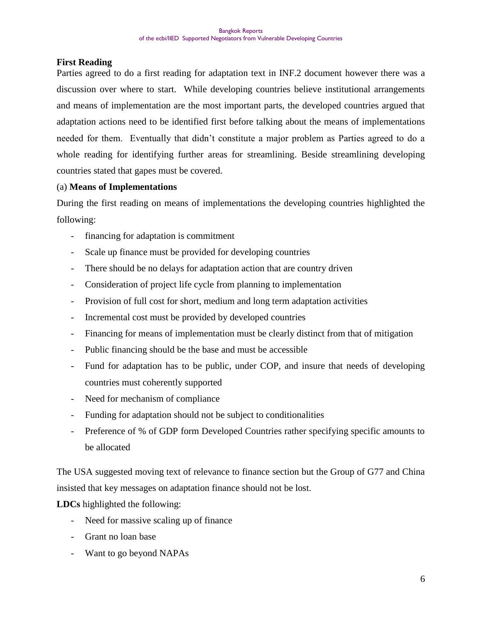#### **First Reading**

Parties agreed to do a first reading for adaptation text in INF.2 document however there was a discussion over where to start. While developing countries believe institutional arrangements and means of implementation are the most important parts, the developed countries argued that adaptation actions need to be identified first before talking about the means of implementations needed for them. Eventually that didn"t constitute a major problem as Parties agreed to do a whole reading for identifying further areas for streamlining. Beside streamlining developing countries stated that gapes must be covered.

#### (a) **Means of Implementations**

During the first reading on means of implementations the developing countries highlighted the following:

- financing for adaptation is commitment
- Scale up finance must be provided for developing countries
- There should be no delays for adaptation action that are country driven
- Consideration of project life cycle from planning to implementation
- Provision of full cost for short, medium and long term adaptation activities
- Incremental cost must be provided by developed countries
- Financing for means of implementation must be clearly distinct from that of mitigation
- Public financing should be the base and must be accessible
- Fund for adaptation has to be public, under COP, and insure that needs of developing countries must coherently supported
- Need for mechanism of compliance
- Funding for adaptation should not be subject to conditionalities
- Preference of % of GDP form Developed Countries rather specifying specific amounts to be allocated

The USA suggested moving text of relevance to finance section but the Group of G77 and China insisted that key messages on adaptation finance should not be lost.

**LDCs** highlighted the following:

- Need for massive scaling up of finance
- Grant no loan base
- Want to go beyond NAPAs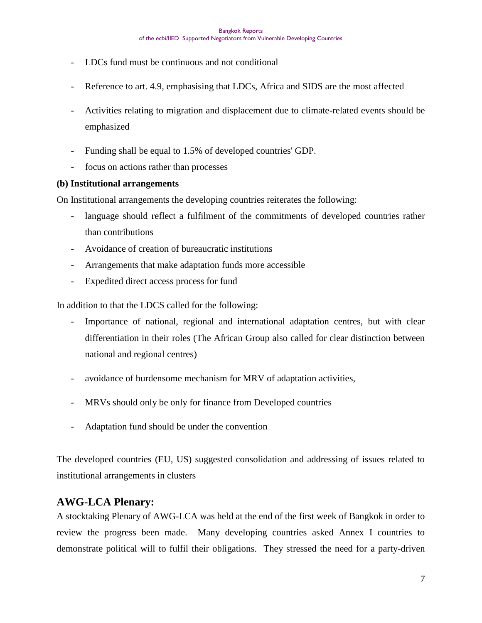- LDCs fund must be continuous and not conditional
- Reference to art. 4.9, emphasising that LDCs, Africa and SIDS are the most affected
- Activities relating to migration and displacement due to climate-related events should be emphasized
- Funding shall be equal to 1.5% of developed countries' GDP.
- focus on actions rather than processes

#### **(b) Institutional arrangements**

On Institutional arrangements the developing countries reiterates the following:

- language should reflect a fulfilment of the commitments of developed countries rather than contributions
- Avoidance of creation of bureaucratic institutions
- Arrangements that make adaptation funds more accessible
- Expedited direct access process for fund

In addition to that the LDCS called for the following:

- Importance of national, regional and international adaptation centres, but with clear differentiation in their roles (The African Group also called for clear distinction between national and regional centres)
- avoidance of burdensome mechanism for MRV of adaptation activities,
- MRVs should only be only for finance from Developed countries
- Adaptation fund should be under the convention

The developed countries (EU, US) suggested consolidation and addressing of issues related to institutional arrangements in clusters

# **AWG-LCA Plenary:**

A stocktaking Plenary of AWG-LCA was held at the end of the first week of Bangkok in order to review the progress been made. Many developing countries asked Annex I countries to demonstrate political will to fulfil their obligations. They stressed the need for a party-driven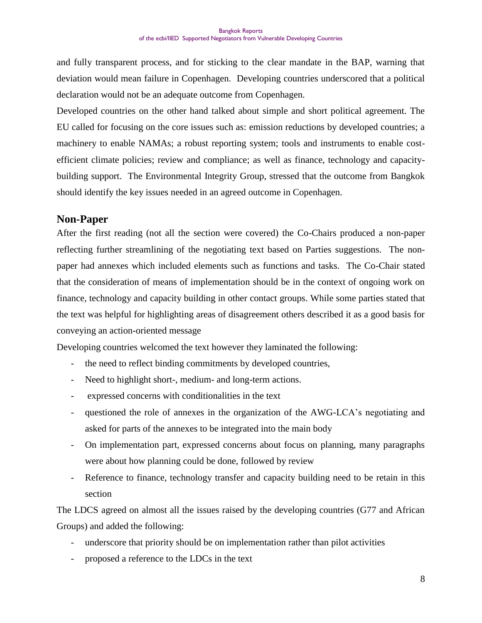and fully transparent process, and for sticking to the clear mandate in the BAP, warning that deviation would mean failure in Copenhagen. Developing countries underscored that a political declaration would not be an adequate outcome from Copenhagen.

Developed countries on the other hand talked about simple and short political agreement. The EU called for focusing on the core issues such as: emission reductions by developed countries; a machinery to enable NAMAs; a robust reporting system; tools and instruments to enable costefficient climate policies; review and compliance; as well as finance, technology and capacitybuilding support. The Environmental Integrity Group, stressed that the outcome from Bangkok should identify the key issues needed in an agreed outcome in Copenhagen.

#### **Non-Paper**

After the first reading (not all the section were covered) the Co-Chairs produced a non-paper reflecting further streamlining of the negotiating text based on Parties suggestions. The nonpaper had annexes which included elements such as functions and tasks. The Co-Chair stated that the consideration of means of implementation should be in the context of ongoing work on finance, technology and capacity building in other contact groups. While some parties stated that the text was helpful for highlighting areas of disagreement others described it as a good basis for conveying an action-oriented message

Developing countries welcomed the text however they laminated the following:

- the need to reflect binding commitments by developed countries,
- Need to highlight short-, medium- and long-term actions.
- expressed concerns with conditionalities in the text
- questioned the role of annexes in the organization of the AWG-LCA"s negotiating and asked for parts of the annexes to be integrated into the main body
- On implementation part, expressed concerns about focus on planning, many paragraphs were about how planning could be done, followed by review
- Reference to finance, technology transfer and capacity building need to be retain in this section

The LDCS agreed on almost all the issues raised by the developing countries (G77 and African Groups) and added the following:

- underscore that priority should be on implementation rather than pilot activities
- proposed a reference to the LDCs in the text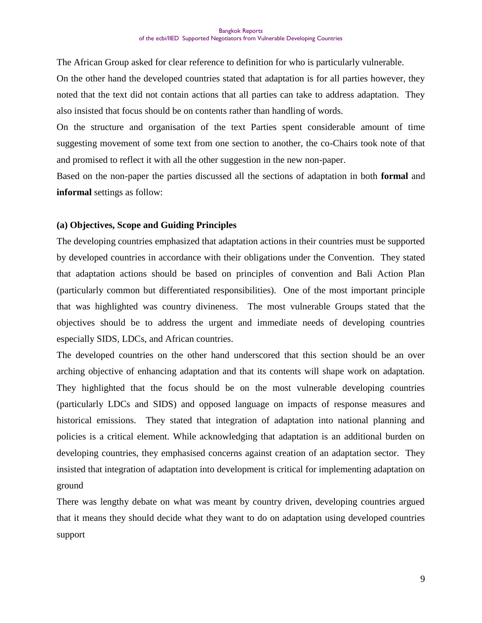The African Group asked for clear reference to definition for who is particularly vulnerable.

On the other hand the developed countries stated that adaptation is for all parties however, they noted that the text did not contain actions that all parties can take to address adaptation. They also insisted that focus should be on contents rather than handling of words.

On the structure and organisation of the text Parties spent considerable amount of time suggesting movement of some text from one section to another, the co-Chairs took note of that and promised to reflect it with all the other suggestion in the new non-paper.

Based on the non-paper the parties discussed all the sections of adaptation in both **formal** and **informal** settings as follow:

#### **(a) Objectives, Scope and Guiding Principles**

The developing countries emphasized that adaptation actions in their countries must be supported by developed countries in accordance with their obligations under the Convention. They stated that adaptation actions should be based on principles of convention and Bali Action Plan (particularly common but differentiated responsibilities). One of the most important principle that was highlighted was country divineness. The most vulnerable Groups stated that the objectives should be to address the urgent and immediate needs of developing countries especially SIDS, LDCs, and African countries.

The developed countries on the other hand underscored that this section should be an over arching objective of enhancing adaptation and that its contents will shape work on adaptation. They highlighted that the focus should be on the most vulnerable developing countries (particularly LDCs and SIDS) and opposed language on impacts of response measures and historical emissions. They stated that integration of adaptation into national planning and policies is a critical element. While acknowledging that adaptation is an additional burden on developing countries, they emphasised concerns against creation of an adaptation sector. They insisted that integration of adaptation into development is critical for implementing adaptation on ground

There was lengthy debate on what was meant by country driven, developing countries argued that it means they should decide what they want to do on adaptation using developed countries support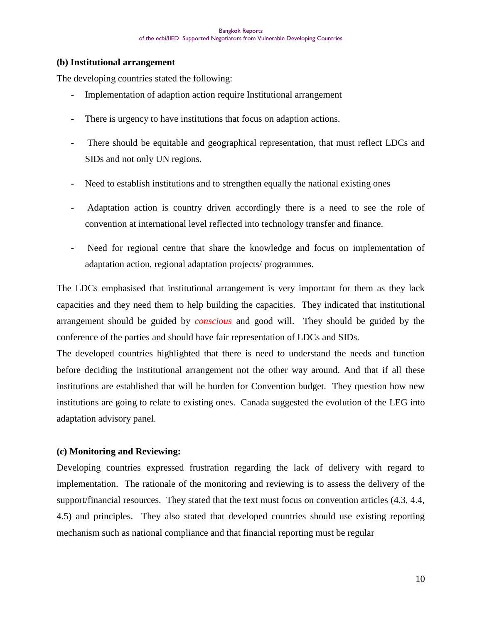#### **(b) Institutional arrangement**

The developing countries stated the following:

- Implementation of adaption action require Institutional arrangement
- There is urgency to have institutions that focus on adaption actions.
- There should be equitable and geographical representation, that must reflect LDCs and SIDs and not only UN regions.
- Need to establish institutions and to strengthen equally the national existing ones
- Adaptation action is country driven accordingly there is a need to see the role of convention at international level reflected into technology transfer and finance.
- Need for regional centre that share the knowledge and focus on implementation of adaptation action, regional adaptation projects/ programmes.

The LDCs emphasised that institutional arrangement is very important for them as they lack capacities and they need them to help building the capacities. They indicated that institutional arrangement should be guided by *conscious* and good will. They should be guided by the conference of the parties and should have fair representation of LDCs and SIDs.

The developed countries highlighted that there is need to understand the needs and function before deciding the institutional arrangement not the other way around. And that if all these institutions are established that will be burden for Convention budget. They question how new institutions are going to relate to existing ones. Canada suggested the evolution of the LEG into adaptation advisory panel.

#### **(c) Monitoring and Reviewing:**

Developing countries expressed frustration regarding the lack of delivery with regard to implementation. The rationale of the monitoring and reviewing is to assess the delivery of the support/financial resources. They stated that the text must focus on convention articles (4.3, 4.4, 4.5) and principles. They also stated that developed countries should use existing reporting mechanism such as national compliance and that financial reporting must be regular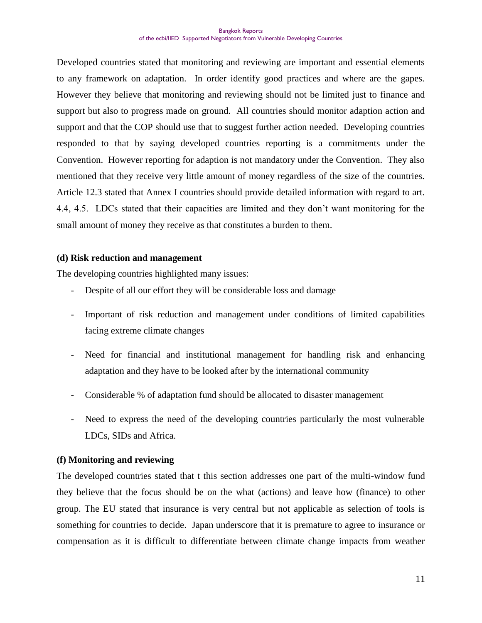Developed countries stated that monitoring and reviewing are important and essential elements to any framework on adaptation. In order identify good practices and where are the gapes. However they believe that monitoring and reviewing should not be limited just to finance and support but also to progress made on ground. All countries should monitor adaption action and support and that the COP should use that to suggest further action needed. Developing countries responded to that by saying developed countries reporting is a commitments under the Convention. However reporting for adaption is not mandatory under the Convention. They also mentioned that they receive very little amount of money regardless of the size of the countries. Article 12.3 stated that Annex I countries should provide detailed information with regard to art. 4.4, 4.5. LDCs stated that their capacities are limited and they don"t want monitoring for the small amount of money they receive as that constitutes a burden to them.

#### **(d) Risk reduction and management**

The developing countries highlighted many issues:

- Despite of all our effort they will be considerable loss and damage
- Important of risk reduction and management under conditions of limited capabilities facing extreme climate changes
- Need for financial and institutional management for handling risk and enhancing adaptation and they have to be looked after by the international community
- Considerable % of adaptation fund should be allocated to disaster management
- Need to express the need of the developing countries particularly the most vulnerable LDCs, SIDs and Africa.

#### **(f) Monitoring and reviewing**

The developed countries stated that t this section addresses one part of the multi-window fund they believe that the focus should be on the what (actions) and leave how (finance) to other group. The EU stated that insurance is very central but not applicable as selection of tools is something for countries to decide. Japan underscore that it is premature to agree to insurance or compensation as it is difficult to differentiate between climate change impacts from weather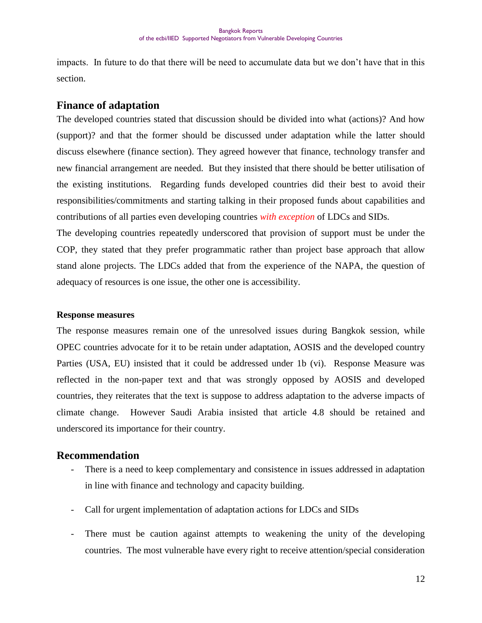impacts. In future to do that there will be need to accumulate data but we don"t have that in this section.

#### **Finance of adaptation**

The developed countries stated that discussion should be divided into what (actions)? And how (support)? and that the former should be discussed under adaptation while the latter should discuss elsewhere (finance section). They agreed however that finance, technology transfer and new financial arrangement are needed. But they insisted that there should be better utilisation of the existing institutions. Regarding funds developed countries did their best to avoid their responsibilities/commitments and starting talking in their proposed funds about capabilities and contributions of all parties even developing countries *with exception* of LDCs and SIDs.

The developing countries repeatedly underscored that provision of support must be under the COP, they stated that they prefer programmatic rather than project base approach that allow stand alone projects. The LDCs added that from the experience of the NAPA, the question of adequacy of resources is one issue, the other one is accessibility.

#### **Response measures**

The response measures remain one of the unresolved issues during Bangkok session, while OPEC countries advocate for it to be retain under adaptation, AOSIS and the developed country Parties (USA, EU) insisted that it could be addressed under 1b (vi). Response Measure was reflected in the non-paper text and that was strongly opposed by AOSIS and developed countries, they reiterates that the text is suppose to address adaptation to the adverse impacts of climate change. However Saudi Arabia insisted that article 4.8 should be retained and underscored its importance for their country.

#### **Recommendation**

- There is a need to keep complementary and consistence in issues addressed in adaptation in line with finance and technology and capacity building.
- Call for urgent implementation of adaptation actions for LDCs and SIDs
- There must be caution against attempts to weakening the unity of the developing countries. The most vulnerable have every right to receive attention/special consideration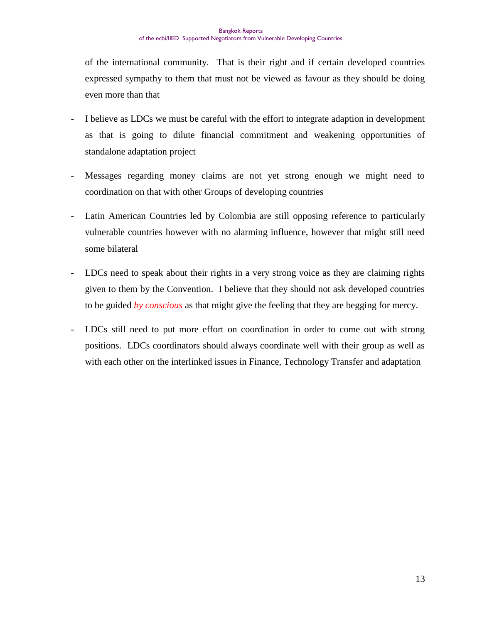of the international community. That is their right and if certain developed countries expressed sympathy to them that must not be viewed as favour as they should be doing even more than that

- I believe as LDCs we must be careful with the effort to integrate adaption in development as that is going to dilute financial commitment and weakening opportunities of standalone adaptation project
- Messages regarding money claims are not yet strong enough we might need to coordination on that with other Groups of developing countries
- Latin American Countries led by Colombia are still opposing reference to particularly vulnerable countries however with no alarming influence, however that might still need some bilateral
- LDCs need to speak about their rights in a very strong voice as they are claiming rights given to them by the Convention. I believe that they should not ask developed countries to be guided *by conscious* as that might give the feeling that they are begging for mercy.
- LDCs still need to put more effort on coordination in order to come out with strong positions. LDCs coordinators should always coordinate well with their group as well as with each other on the interlinked issues in Finance, Technology Transfer and adaptation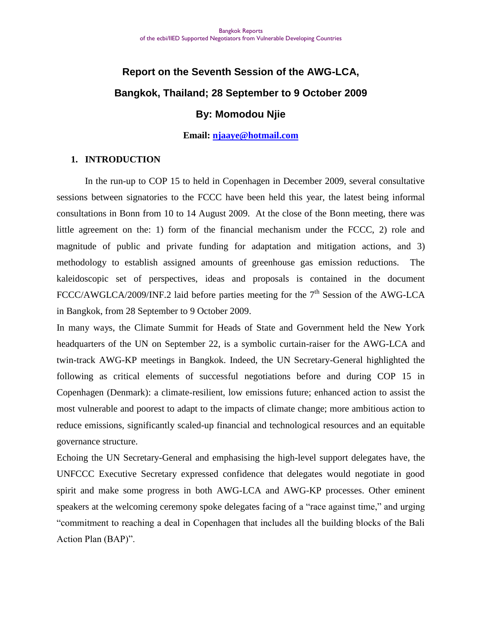# **Report on the Seventh Session of the AWG-LCA, Bangkok, Thailand; 28 September to 9 October 2009**

# **By: Momodou Njie**

#### **Email: [njaaye@hotmail.com](mailto:njaaye@hotmail.com)**

#### **1. INTRODUCTION**

In the run-up to COP 15 to held in Copenhagen in December 2009, several consultative sessions between signatories to the FCCC have been held this year, the latest being informal consultations in Bonn from 10 to 14 August 2009. At the close of the Bonn meeting, there was little agreement on the: 1) form of the financial mechanism under the FCCC, 2) role and magnitude of public and private funding for adaptation and mitigation actions, and 3) methodology to establish assigned amounts of greenhouse gas emission reductions. The kaleidoscopic set of perspectives, ideas and proposals is contained in the document FCCC/AWGLCA/2009/INF.2 laid before parties meeting for the 7<sup>th</sup> Session of the AWG-LCA in Bangkok, from 28 September to 9 October 2009.

In many ways, the Climate Summit for Heads of State and Government held the New York headquarters of the UN on September 22, is a symbolic curtain-raiser for the AWG-LCA and twin-track AWG-KP meetings in Bangkok. Indeed, the UN Secretary-General highlighted the following as critical elements of successful negotiations before and during COP 15 in Copenhagen (Denmark): a climate-resilient, low emissions future; enhanced action to assist the most vulnerable and poorest to adapt to the impacts of climate change; more ambitious action to reduce emissions, significantly scaled-up financial and technological resources and an equitable governance structure.

Echoing the UN Secretary-General and emphasising the high-level support delegates have, the UNFCCC Executive Secretary expressed confidence that delegates would negotiate in good spirit and make some progress in both AWG-LCA and AWG-KP processes. Other eminent speakers at the welcoming ceremony spoke delegates facing of a "race against time," and urging "commitment to reaching a deal in Copenhagen that includes all the building blocks of the Bali Action Plan (BAP)".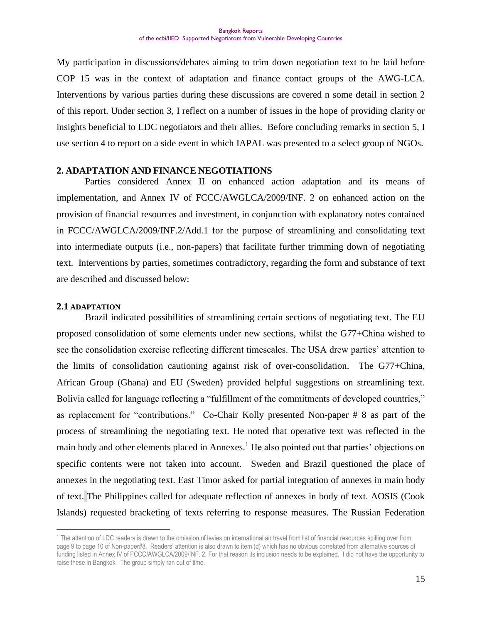My participation in discussions/debates aiming to trim down negotiation text to be laid before COP 15 was in the context of adaptation and finance contact groups of the AWG-LCA. Interventions by various parties during these discussions are covered n some detail in section 2 of this report. Under section 3, I reflect on a number of issues in the hope of providing clarity or insights beneficial to LDC negotiators and their allies. Before concluding remarks in section 5, I use section 4 to report on a side event in which IAPAL was presented to a select group of NGOs.

#### **2. ADAPTATION AND FINANCE NEGOTIATIONS**

Parties considered Annex II on enhanced action adaptation and its means of implementation, and Annex IV of FCCC/AWGLCA/2009/INF. 2 on enhanced action on the provision of financial resources and investment, in conjunction with explanatory notes contained in FCCC/AWGLCA/2009/INF.2/Add.1 for the purpose of streamlining and consolidating text into intermediate outputs (i.e., non-papers) that facilitate further trimming down of negotiating text. Interventions by parties, sometimes contradictory, regarding the form and substance of text are described and discussed below:

#### **2.1 ADAPTATION**

 $\overline{a}$ 

Brazil indicated possibilities of streamlining certain sections of negotiating text. The EU proposed consolidation of some elements under new sections, whilst the G77+China wished to see the consolidation exercise reflecting different timescales. The USA drew parties' attention to the limits of consolidation cautioning against risk of over-consolidation. The G77+China, African Group (Ghana) and EU (Sweden) provided helpful suggestions on streamlining text. Bolivia called for language reflecting a "fulfillment of the commitments of developed countries," as replacement for "contributions." Co-Chair Kolly presented Non-paper # 8 as part of the process of streamlining the negotiating text. He noted that operative text was reflected in the main body and other elements placed in Annexes.<sup>1</sup> He also pointed out that parties' objections on specific contents were not taken into account. Sweden and Brazil questioned the place of annexes in the negotiating text. East Timor asked for partial integration of annexes in main body of text. The Philippines called for adequate reflection of annexes in body of text. AOSIS (Cook Islands) requested bracketing of texts referring to response measures. The Russian Federation

<sup>&</sup>lt;sup>1</sup> The attention of LDC readers is drawn to the omission of levies on international air travel from list of financial resources spilling over from page 9 to page 10 of Non-paper#8. Readers' attention is also drawn to item (d) which has no obvious correlated from alternative sources of funding listed in Annex IV of FCCC/AWGLCA/2009/INF. 2. For that reason its inclusion needs to be explained. I did not have the opportunity to raise these in Bangkok. The group simply ran out of time.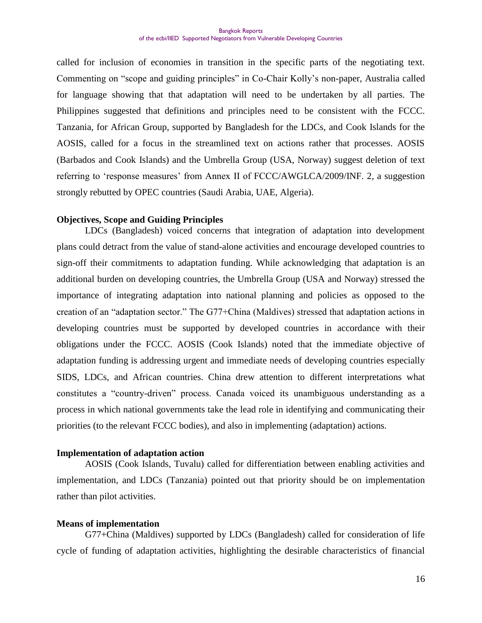called for inclusion of economies in transition in the specific parts of the negotiating text. Commenting on "scope and guiding principles" in Co-Chair Kolly"s non-paper, Australia called for language showing that that adaptation will need to be undertaken by all parties. The Philippines suggested that definitions and principles need to be consistent with the FCCC. Tanzania, for African Group, supported by Bangladesh for the LDCs, and Cook Islands for the AOSIS, called for a focus in the streamlined text on actions rather that processes. AOSIS (Barbados and Cook Islands) and the Umbrella Group (USA, Norway) suggest deletion of text referring to "response measures" from Annex II of FCCC/AWGLCA/2009/INF. 2, a suggestion strongly rebutted by OPEC countries (Saudi Arabia, UAE, Algeria).

#### **Objectives, Scope and Guiding Principles**

LDCs (Bangladesh) voiced concerns that integration of adaptation into development plans could detract from the value of stand-alone activities and encourage developed countries to sign-off their commitments to adaptation funding. While acknowledging that adaptation is an additional burden on developing countries, the Umbrella Group (USA and Norway) stressed the importance of integrating adaptation into national planning and policies as opposed to the creation of an "adaptation sector." The G77+China (Maldives) stressed that adaptation actions in developing countries must be supported by developed countries in accordance with their obligations under the FCCC. AOSIS (Cook Islands) noted that the immediate objective of adaptation funding is addressing urgent and immediate needs of developing countries especially SIDS, LDCs, and African countries. China drew attention to different interpretations what constitutes a "country-driven" process. Canada voiced its unambiguous understanding as a process in which national governments take the lead role in identifying and communicating their priorities (to the relevant FCCC bodies), and also in implementing (adaptation) actions.

#### **Implementation of adaptation action**

AOSIS (Cook Islands, Tuvalu) called for differentiation between enabling activities and implementation, and LDCs (Tanzania) pointed out that priority should be on implementation rather than pilot activities.

#### **Means of implementation**

G77+China (Maldives) supported by LDCs (Bangladesh) called for consideration of life cycle of funding of adaptation activities, highlighting the desirable characteristics of financial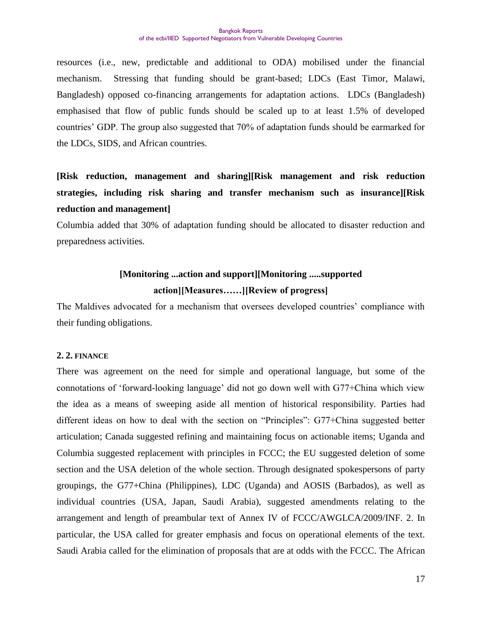resources (i.e., new, predictable and additional to ODA) mobilised under the financial mechanism. Stressing that funding should be grant-based; LDCs (East Timor, Malawi, Bangladesh) opposed co-financing arrangements for adaptation actions. LDCs (Bangladesh) emphasised that flow of public funds should be scaled up to at least 1.5% of developed countries" GDP. The group also suggested that 70% of adaptation funds should be earmarked for the LDCs, SIDS, and African countries.

**[Risk reduction, management and sharing][Risk management and risk reduction strategies, including risk sharing and transfer mechanism such as insurance][Risk reduction and management]**

Columbia added that 30% of adaptation funding should be allocated to disaster reduction and preparedness activities.

# **[Monitoring ...action and support][Monitoring .....supported action][Measures……][Review of progress]**

The Maldives advocated for a mechanism that oversees developed countries' compliance with their funding obligations.

#### **2. 2. FINANCE**

There was agreement on the need for simple and operational language, but some of the connotations of "forward-looking language" did not go down well with G77+China which view the idea as a means of sweeping aside all mention of historical responsibility. Parties had different ideas on how to deal with the section on "Principles": G77+China suggested better articulation; Canada suggested refining and maintaining focus on actionable items; Uganda and Columbia suggested replacement with principles in FCCC; the EU suggested deletion of some section and the USA deletion of the whole section. Through designated spokespersons of party groupings, the G77+China (Philippines), LDC (Uganda) and AOSIS (Barbados), as well as individual countries (USA, Japan, Saudi Arabia), suggested amendments relating to the arrangement and length of preambular text of Annex IV of FCCC/AWGLCA/2009/INF. 2. In particular, the USA called for greater emphasis and focus on operational elements of the text. Saudi Arabia called for the elimination of proposals that are at odds with the FCCC. The African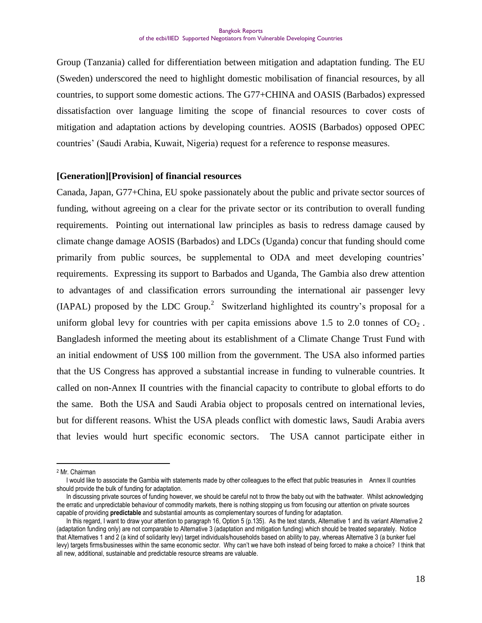Group (Tanzania) called for differentiation between mitigation and adaptation funding. The EU (Sweden) underscored the need to highlight domestic mobilisation of financial resources, by all countries, to support some domestic actions. The G77+CHINA and OASIS (Barbados) expressed dissatisfaction over language limiting the scope of financial resources to cover costs of mitigation and adaptation actions by developing countries. AOSIS (Barbados) opposed OPEC countries" (Saudi Arabia, Kuwait, Nigeria) request for a reference to response measures.

#### **[Generation][Provision] of financial resources**

Canada, Japan, G77+China, EU spoke passionately about the public and private sector sources of funding, without agreeing on a clear for the private sector or its contribution to overall funding requirements. Pointing out international law principles as basis to redress damage caused by climate change damage AOSIS (Barbados) and LDCs (Uganda) concur that funding should come primarily from public sources, be supplemental to ODA and meet developing countries" requirements. Expressing its support to Barbados and Uganda, The Gambia also drew attention to advantages of and classification errors surrounding the international air passenger levy (IAPAL) proposed by the LDC Group.<sup>2</sup> Switzerland highlighted its country's proposal for a uniform global levy for countries with per capita emissions above 1.5 to 2.0 tonnes of  $CO<sub>2</sub>$ . Bangladesh informed the meeting about its establishment of a Climate Change Trust Fund with an initial endowment of US\$ 100 million from the government. The USA also informed parties that the US Congress has approved a substantial increase in funding to vulnerable countries. It called on non-Annex II countries with the financial capacity to contribute to global efforts to do the same. Both the USA and Saudi Arabia object to proposals centred on international levies, but for different reasons. Whist the USA pleads conflict with domestic laws, Saudi Arabia avers that levies would hurt specific economic sectors. The USA cannot participate either in

<sup>2</sup> Mr. Chairman

I would like to associate the Gambia with statements made by other colleagues to the effect that public treasuries in Annex II countries should provide the bulk of funding for adaptation.

In discussing private sources of funding however, we should be careful not to throw the baby out with the bathwater. Whilst acknowledging the erratic and unpredictable behaviour of commodity markets, there is nothing stopping us from focusing our attention on private sources capable of providing **predictable** and substantial amounts as complementary sources of funding for adaptation.

In this regard, I want to draw your attention to paragraph 16, Option 5 (p.135). As the text stands, Alternative 1 and its variant Alternative 2 (adaptation funding only) are not comparable to Alternative 3 (adaptation and mitigation funding) which should be treated separately. Notice that Alternatives 1 and 2 (a kind of solidarity levy) target individuals/households based on ability to pay, whereas Alternative 3 (a bunker fuel levy) targets firms/businesses within the same economic sector. Why can't we have both instead of being forced to make a choice? I think that all new, additional, sustainable and predictable resource streams are valuable.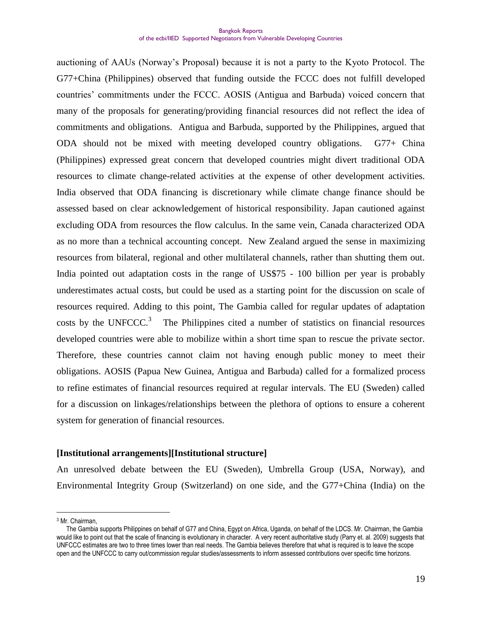auctioning of AAUs (Norway"s Proposal) because it is not a party to the Kyoto Protocol. The G77+China (Philippines) observed that funding outside the FCCC does not fulfill developed countries" commitments under the FCCC. AOSIS (Antigua and Barbuda) voiced concern that many of the proposals for generating/providing financial resources did not reflect the idea of commitments and obligations. Antigua and Barbuda, supported by the Philippines, argued that ODA should not be mixed with meeting developed country obligations. G77+ China (Philippines) expressed great concern that developed countries might divert traditional ODA resources to climate change-related activities at the expense of other development activities. India observed that ODA financing is discretionary while climate change finance should be assessed based on clear acknowledgement of historical responsibility. Japan cautioned against excluding ODA from resources the flow calculus. In the same vein, Canada characterized ODA as no more than a technical accounting concept. New Zealand argued the sense in maximizing resources from bilateral, regional and other multilateral channels, rather than shutting them out. India pointed out adaptation costs in the range of US\$75 - 100 billion per year is probably underestimates actual costs, but could be used as a starting point for the discussion on scale of resources required. Adding to this point, The Gambia called for regular updates of adaptation costs by the UNFCCC.<sup>3</sup> The Philippines cited a number of statistics on financial resources developed countries were able to mobilize within a short time span to rescue the private sector. Therefore, these countries cannot claim not having enough public money to meet their obligations. AOSIS (Papua New Guinea, Antigua and Barbuda) called for a formalized process to refine estimates of financial resources required at regular intervals. The EU (Sweden) called for a discussion on linkages/relationships between the plethora of options to ensure a coherent system for generation of financial resources.

#### **[Institutional arrangements][Institutional structure]**

An unresolved debate between the EU (Sweden), Umbrella Group (USA, Norway), and Environmental Integrity Group (Switzerland) on one side, and the G77+China (India) on the

<sup>3</sup> Mr. Chairman,

The Gambia supports Philippines on behalf of G77 and China, Egypt on Africa, Uganda, on behalf of the LDCS. Mr. Chairman, the Gambia would like to point out that the scale of financing is evolutionary in character. A very recent authoritative study (Parry et. al. 2009) suggests that UNFCCC estimates are two to three times lower than real needs. The Gambia believes therefore that what is required is to leave the scope open and the UNFCCC to carry out/commission regular studies/assessments to inform assessed contributions over specific time horizons.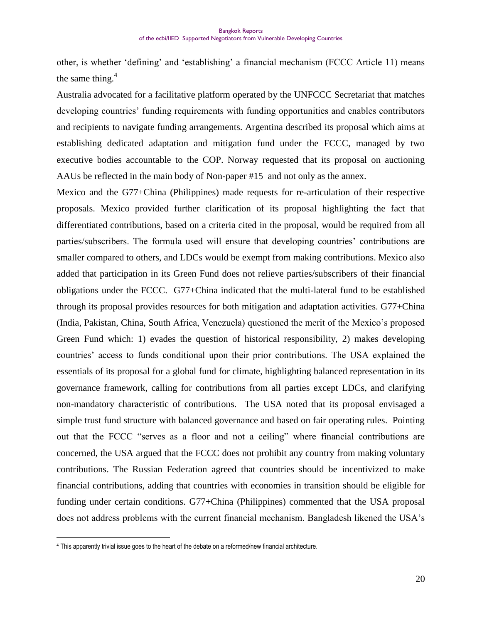other, is whether "defining" and "establishing" a financial mechanism (FCCC Article 11) means the same thing. $4$ 

Australia advocated for a facilitative platform operated by the UNFCCC Secretariat that matches developing countries' funding requirements with funding opportunities and enables contributors and recipients to navigate funding arrangements. Argentina described its proposal which aims at establishing dedicated adaptation and mitigation fund under the FCCC, managed by two executive bodies accountable to the COP. Norway requested that its proposal on auctioning AAUs be reflected in the main body of Non-paper #15 and not only as the annex.

Mexico and the G77+China (Philippines) made requests for re-articulation of their respective proposals. Mexico provided further clarification of its proposal highlighting the fact that differentiated contributions, based on a criteria cited in the proposal, would be required from all parties/subscribers. The formula used will ensure that developing countries" contributions are smaller compared to others, and LDCs would be exempt from making contributions. Mexico also added that participation in its Green Fund does not relieve parties/subscribers of their financial obligations under the FCCC. G77+China indicated that the multi-lateral fund to be established through its proposal provides resources for both mitigation and adaptation activities. G77+China (India, Pakistan, China, South Africa, Venezuela) questioned the merit of the Mexico"s proposed Green Fund which: 1) evades the question of historical responsibility, 2) makes developing countries" access to funds conditional upon their prior contributions. The USA explained the essentials of its proposal for a global fund for climate, highlighting balanced representation in its governance framework, calling for contributions from all parties except LDCs, and clarifying non-mandatory characteristic of contributions. The USA noted that its proposal envisaged a simple trust fund structure with balanced governance and based on fair operating rules. Pointing out that the FCCC "serves as a floor and not a ceiling" where financial contributions are concerned, the USA argued that the FCCC does not prohibit any country from making voluntary contributions. The Russian Federation agreed that countries should be incentivized to make financial contributions, adding that countries with economies in transition should be eligible for funding under certain conditions. G77+China (Philippines) commented that the USA proposal does not address problems with the current financial mechanism. Bangladesh likened the USA"s

<sup>4</sup> This apparently trivial issue goes to the heart of the debate on a reformed/new financial architecture.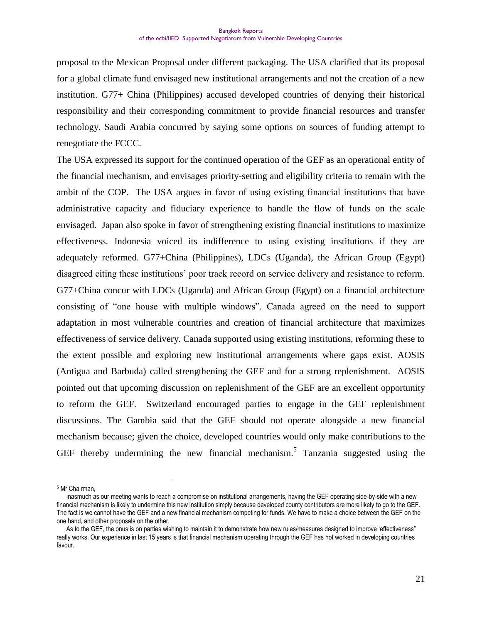proposal to the Mexican Proposal under different packaging. The USA clarified that its proposal for a global climate fund envisaged new institutional arrangements and not the creation of a new institution. G77+ China (Philippines) accused developed countries of denying their historical responsibility and their corresponding commitment to provide financial resources and transfer technology. Saudi Arabia concurred by saying some options on sources of funding attempt to renegotiate the FCCC.

The USA expressed its support for the continued operation of the GEF as an operational entity of the financial mechanism, and envisages priority-setting and eligibility criteria to remain with the ambit of the COP. The USA argues in favor of using existing financial institutions that have administrative capacity and fiduciary experience to handle the flow of funds on the scale envisaged. Japan also spoke in favor of strengthening existing financial institutions to maximize effectiveness. Indonesia voiced its indifference to using existing institutions if they are adequately reformed. G77+China (Philippines), LDCs (Uganda), the African Group (Egypt) disagreed citing these institutions" poor track record on service delivery and resistance to reform. G77+China concur with LDCs (Uganda) and African Group (Egypt) on a financial architecture consisting of "one house with multiple windows". Canada agreed on the need to support adaptation in most vulnerable countries and creation of financial architecture that maximizes effectiveness of service delivery. Canada supported using existing institutions, reforming these to the extent possible and exploring new institutional arrangements where gaps exist. AOSIS (Antigua and Barbuda) called strengthening the GEF and for a strong replenishment. AOSIS pointed out that upcoming discussion on replenishment of the GEF are an excellent opportunity to reform the GEF. Switzerland encouraged parties to engage in the GEF replenishment discussions. The Gambia said that the GEF should not operate alongside a new financial mechanism because; given the choice, developed countries would only make contributions to the GEF thereby undermining the new financial mechanism.<sup>5</sup> Tanzania suggested using the

<sup>5</sup> Mr Chairman,

Inasmuch as our meeting wants to reach a compromise on institutional arrangements, having the GEF operating side-by-side with a new financial mechanism is likely to undermine this new institution simply because developed county contributors are more likely to go to the GEF. The fact is we cannot have the GEF and a new financial mechanism competing for funds. We have to make a choice between the GEF on the one hand, and other proposals on the other.

As to the GEF, the onus is on parties wishing to maintain it to demonstrate how new rules/measures designed to improve 'effectiveness" really works. Our experience in last 15 years is that financial mechanism operating through the GEF has not worked in developing countries favour.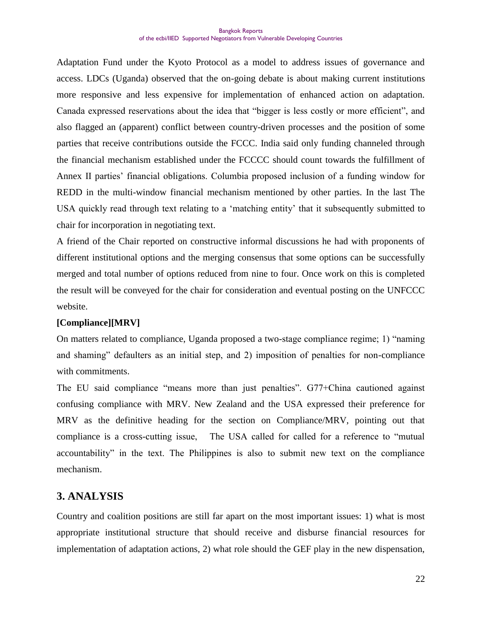Adaptation Fund under the Kyoto Protocol as a model to address issues of governance and access. LDCs (Uganda) observed that the on-going debate is about making current institutions more responsive and less expensive for implementation of enhanced action on adaptation. Canada expressed reservations about the idea that "bigger is less costly or more efficient", and also flagged an (apparent) conflict between country-driven processes and the position of some parties that receive contributions outside the FCCC. India said only funding channeled through the financial mechanism established under the FCCCC should count towards the fulfillment of Annex II parties' financial obligations. Columbia proposed inclusion of a funding window for REDD in the multi-window financial mechanism mentioned by other parties. In the last The USA quickly read through text relating to a "matching entity" that it subsequently submitted to chair for incorporation in negotiating text.

A friend of the Chair reported on constructive informal discussions he had with proponents of different institutional options and the merging consensus that some options can be successfully merged and total number of options reduced from nine to four. Once work on this is completed the result will be conveyed for the chair for consideration and eventual posting on the UNFCCC website.

#### **[Compliance][MRV]**

On matters related to compliance, Uganda proposed a two-stage compliance regime; 1) "naming and shaming" defaulters as an initial step, and 2) imposition of penalties for non-compliance with commitments.

The EU said compliance "means more than just penalties". G77+China cautioned against confusing compliance with MRV. New Zealand and the USA expressed their preference for MRV as the definitive heading for the section on Compliance/MRV, pointing out that compliance is a cross-cutting issue, The USA called for called for a reference to "mutual accountability" in the text. The Philippines is also to submit new text on the compliance mechanism.

#### **3. ANALYSIS**

Country and coalition positions are still far apart on the most important issues: 1) what is most appropriate institutional structure that should receive and disburse financial resources for implementation of adaptation actions, 2) what role should the GEF play in the new dispensation,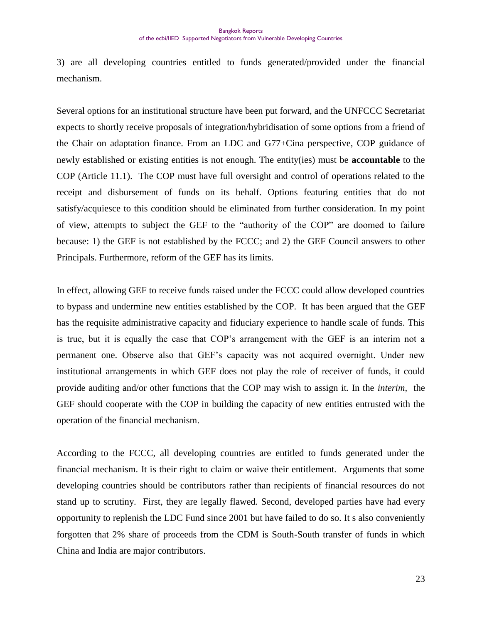3) are all developing countries entitled to funds generated/provided under the financial mechanism.

Several options for an institutional structure have been put forward, and the UNFCCC Secretariat expects to shortly receive proposals of integration/hybridisation of some options from a friend of the Chair on adaptation finance. From an LDC and G77+Cina perspective, COP guidance of newly established or existing entities is not enough. The entity(ies) must be **accountable** to the COP (Article 11.1). The COP must have full oversight and control of operations related to the receipt and disbursement of funds on its behalf. Options featuring entities that do not satisfy/acquiesce to this condition should be eliminated from further consideration. In my point of view, attempts to subject the GEF to the "authority of the COP" are doomed to failure because: 1) the GEF is not established by the FCCC; and 2) the GEF Council answers to other Principals. Furthermore, reform of the GEF has its limits.

In effect, allowing GEF to receive funds raised under the FCCC could allow developed countries to bypass and undermine new entities established by the COP. It has been argued that the GEF has the requisite administrative capacity and fiduciary experience to handle scale of funds. This is true, but it is equally the case that COP"s arrangement with the GEF is an interim not a permanent one. Observe also that GEF"s capacity was not acquired overnight. Under new institutional arrangements in which GEF does not play the role of receiver of funds, it could provide auditing and/or other functions that the COP may wish to assign it. In the *interim*, the GEF should cooperate with the COP in building the capacity of new entities entrusted with the operation of the financial mechanism.

According to the FCCC, all developing countries are entitled to funds generated under the financial mechanism. It is their right to claim or waive their entitlement. Arguments that some developing countries should be contributors rather than recipients of financial resources do not stand up to scrutiny. First, they are legally flawed. Second, developed parties have had every opportunity to replenish the LDC Fund since 2001 but have failed to do so. It s also conveniently forgotten that 2% share of proceeds from the CDM is South-South transfer of funds in which China and India are major contributors.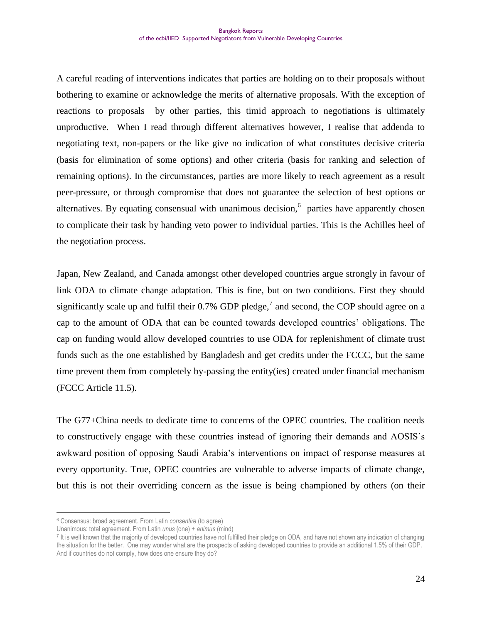A careful reading of interventions indicates that parties are holding on to their proposals without bothering to examine or acknowledge the merits of alternative proposals. With the exception of reactions to proposals by other parties, this timid approach to negotiations is ultimately unproductive. When I read through different alternatives however, I realise that addenda to negotiating text, non-papers or the like give no indication of what constitutes decisive criteria (basis for elimination of some options) and other criteria (basis for ranking and selection of remaining options). In the circumstances, parties are more likely to reach agreement as a result peer-pressure, or through compromise that does not guarantee the selection of best options or alternatives. By equating consensual with unanimous decision,  $6$  parties have apparently chosen to complicate their task by handing veto power to individual parties. This is the Achilles heel of the negotiation process.

Japan, New Zealand, and Canada amongst other developed countries argue strongly in favour of link ODA to climate change adaptation. This is fine, but on two conditions. First they should significantly scale up and fulfil their 0.7% GDP pledge,<sup>7</sup> and second, the COP should agree on a cap to the amount of ODA that can be counted towards developed countries" obligations. The cap on funding would allow developed countries to use ODA for replenishment of climate trust funds such as the one established by Bangladesh and get credits under the FCCC, but the same time prevent them from completely by-passing the entity(ies) created under financial mechanism (FCCC Article 11.5).

The G77+China needs to dedicate time to concerns of the OPEC countries. The coalition needs to constructively engage with these countries instead of ignoring their demands and AOSIS"s awkward position of opposing Saudi Arabia"s interventions on impact of response measures at every opportunity. True, OPEC countries are vulnerable to adverse impacts of climate change, but this is not their overriding concern as the issue is being championed by others (on their

<sup>6</sup> Consensus: broad agreement. From Latin *consentire* (to agree)

Unanimous: total agreement. From Latin *unus* (one) + *animus* (mind)

<sup>7</sup> It is well known that the majority of developed countries have not fulfilled their pledge on ODA, and have not shown any indication of changing the situation for the better. One may wonder what are the prospects of asking developed countries to provide an additional 1.5% of their GDP. And if countries do not comply, how does one ensure they do?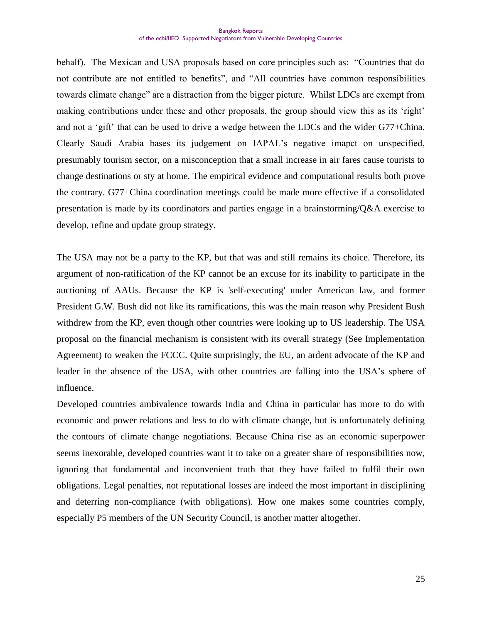behalf). The Mexican and USA proposals based on core principles such as: "Countries that do not contribute are not entitled to benefits", and "All countries have common responsibilities towards climate change" are a distraction from the bigger picture. Whilst LDCs are exempt from making contributions under these and other proposals, the group should view this as its 'right' and not a 'gift' that can be used to drive a wedge between the LDCs and the wider G77+China. Clearly Saudi Arabia bases its judgement on IAPAL"s negative imapct on unspecified, presumably tourism sector, on a misconception that a small increase in air fares cause tourists to change destinations or sty at home. The empirical evidence and computational results both prove the contrary. G77+China coordination meetings could be made more effective if a consolidated presentation is made by its coordinators and parties engage in a brainstorming/Q&A exercise to develop, refine and update group strategy.

The USA may not be a party to the KP, but that was and still remains its choice. Therefore, its argument of non-ratification of the KP cannot be an excuse for its inability to participate in the auctioning of AAUs. Because the KP is 'self-executing' under American law, and former President G.W. Bush did not like its ramifications, this was the main reason why President Bush withdrew from the KP, even though other countries were looking up to US leadership. The USA proposal on the financial mechanism is consistent with its overall strategy (See Implementation Agreement) to weaken the FCCC. Quite surprisingly, the EU, an ardent advocate of the KP and leader in the absence of the USA, with other countries are falling into the USA"s sphere of influence.

Developed countries ambivalence towards India and China in particular has more to do with economic and power relations and less to do with climate change, but is unfortunately defining the contours of climate change negotiations. Because China rise as an economic superpower seems inexorable, developed countries want it to take on a greater share of responsibilities now, ignoring that fundamental and inconvenient truth that they have failed to fulfil their own obligations. Legal penalties, not reputational losses are indeed the most important in disciplining and deterring non-compliance (with obligations). How one makes some countries comply, especially P5 members of the UN Security Council, is another matter altogether.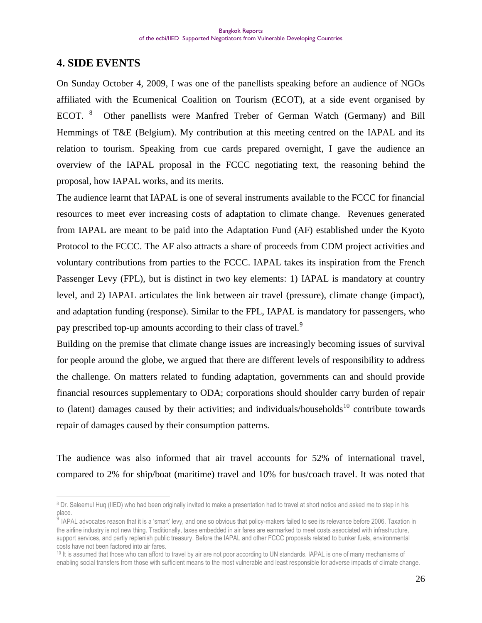# **4. SIDE EVENTS**

 $\overline{a}$ 

On Sunday October 4, 2009, I was one of the panellists speaking before an audience of NGOs affiliated with the Ecumenical Coalition on Tourism (ECOT), at a side event organised by ECOT. <sup>8</sup> Other panellists were Manfred Treber of German Watch (Germany) and Bill Hemmings of T&E (Belgium). My contribution at this meeting centred on the IAPAL and its relation to tourism. Speaking from cue cards prepared overnight, I gave the audience an overview of the IAPAL proposal in the FCCC negotiating text, the reasoning behind the proposal, how IAPAL works, and its merits.

The audience learnt that IAPAL is one of several instruments available to the FCCC for financial resources to meet ever increasing costs of adaptation to climate change. Revenues generated from IAPAL are meant to be paid into the Adaptation Fund (AF) established under the Kyoto Protocol to the FCCC. The AF also attracts a share of proceeds from CDM project activities and voluntary contributions from parties to the FCCC. IAPAL takes its inspiration from the French Passenger Levy (FPL), but is distinct in two key elements: 1) IAPAL is mandatory at country level, and 2) IAPAL articulates the link between air travel (pressure), climate change (impact), and adaptation funding (response). Similar to the FPL, IAPAL is mandatory for passengers, who pay prescribed top-up amounts according to their class of travel.<sup>9</sup>

Building on the premise that climate change issues are increasingly becoming issues of survival for people around the globe, we argued that there are different levels of responsibility to address the challenge. On matters related to funding adaptation, governments can and should provide financial resources supplementary to ODA; corporations should shoulder carry burden of repair to (latent) damages caused by their activities; and individuals/households<sup>10</sup> contribute towards repair of damages caused by their consumption patterns.

The audience was also informed that air travel accounts for 52% of international travel, compared to 2% for ship/boat (maritime) travel and 10% for bus/coach travel. It was noted that

<sup>&</sup>lt;sup>8</sup> Dr. Saleemul Huq (IIED) who had been originally invited to make a presentation had to travel at short notice and asked me to step in his place.

<sup>&</sup>lt;sup>5</sup> IAPAL advocates reason that it is a 'smart' levy, and one so obvious that policy-makers failed to see its relevance before 2006. Taxation in the airline industry is not new thing. Traditionally, taxes embedded in air fares are earmarked to meet costs associated with infrastructure, support services, and partly replenish public treasury. Before the IAPAL and other FCCC proposals related to bunker fuels, environmental costs have not been factored into air fares.

<sup>10</sup> It is assumed that those who can afford to travel by air are not poor according to UN standards. IAPAL is one of many mechanisms of enabling social transfers from those with sufficient means to the most vulnerable and least responsible for adverse impacts of climate change.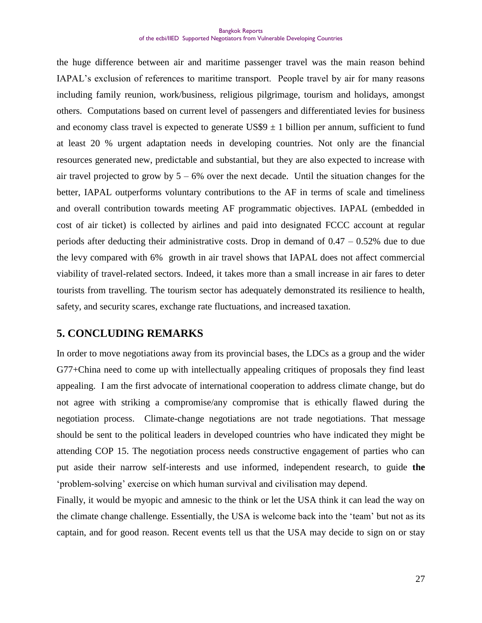the huge difference between air and maritime passenger travel was the main reason behind IAPAL"s exclusion of references to maritime transport. People travel by air for many reasons including family reunion, work/business, religious pilgrimage, tourism and holidays, amongst others. Computations based on current level of passengers and differentiated levies for business and economy class travel is expected to generate  $US$9 \pm 1$  billion per annum, sufficient to fund at least 20 % urgent adaptation needs in developing countries. Not only are the financial resources generated new, predictable and substantial, but they are also expected to increase with air travel projected to grow by  $5 - 6\%$  over the next decade. Until the situation changes for the better, IAPAL outperforms voluntary contributions to the AF in terms of scale and timeliness and overall contribution towards meeting AF programmatic objectives. IAPAL (embedded in cost of air ticket) is collected by airlines and paid into designated FCCC account at regular periods after deducting their administrative costs. Drop in demand of  $0.47 - 0.52\%$  due to due the levy compared with 6% growth in air travel shows that IAPAL does not affect commercial viability of travel-related sectors. Indeed, it takes more than a small increase in air fares to deter tourists from travelling. The tourism sector has adequately demonstrated its resilience to health, safety, and security scares, exchange rate fluctuations, and increased taxation.

#### **5. CONCLUDING REMARKS**

In order to move negotiations away from its provincial bases, the LDCs as a group and the wider G77+China need to come up with intellectually appealing critiques of proposals they find least appealing. I am the first advocate of international cooperation to address climate change, but do not agree with striking a compromise/any compromise that is ethically flawed during the negotiation process. Climate-change negotiations are not trade negotiations. That message should be sent to the political leaders in developed countries who have indicated they might be attending COP 15. The negotiation process needs constructive engagement of parties who can put aside their narrow self-interests and use informed, independent research, to guide **the**  "problem-solving" exercise on which human survival and civilisation may depend.

Finally, it would be myopic and amnesic to the think or let the USA think it can lead the way on the climate change challenge. Essentially, the USA is welcome back into the "team" but not as its captain, and for good reason. Recent events tell us that the USA may decide to sign on or stay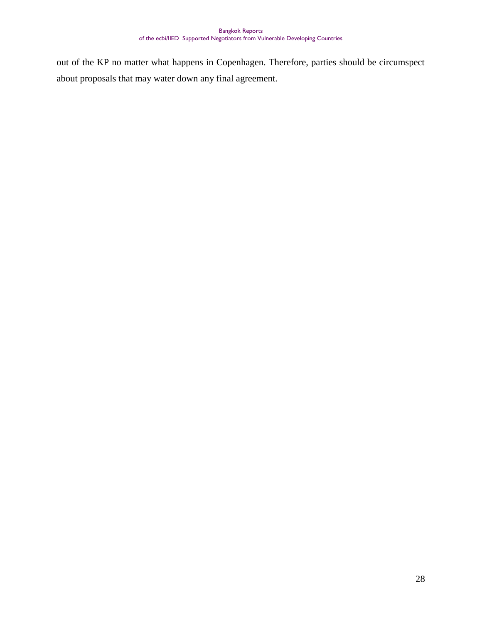out of the KP no matter what happens in Copenhagen. Therefore, parties should be circumspect about proposals that may water down any final agreement.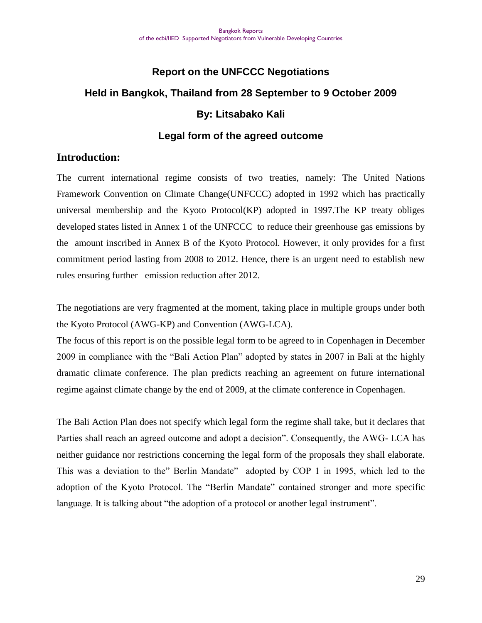# **Report on the UNFCCC Negotiations Held in Bangkok, Thailand from 28 September to 9 October 2009 By: Litsabako Kali**

## **Legal form of the agreed outcome**

## **Introduction:**

The current international regime consists of two treaties, namely: The United Nations Framework Convention on Climate Change(UNFCCC) adopted in 1992 which has practically universal membership and the Kyoto Protocol(KP) adopted in 1997.The KP treaty obliges developed states listed in Annex 1 of the UNFCCC to reduce their greenhouse gas emissions by the amount inscribed in Annex B of the Kyoto Protocol. However, it only provides for a first commitment period lasting from 2008 to 2012. Hence, there is an urgent need to establish new rules ensuring further emission reduction after 2012.

The negotiations are very fragmented at the moment, taking place in multiple groups under both the Kyoto Protocol (AWG-KP) and Convention (AWG-LCA).

The focus of this report is on the possible legal form to be agreed to in Copenhagen in December 2009 in compliance with the "Bali Action Plan" adopted by states in 2007 in Bali at the highly dramatic climate conference. The plan predicts reaching an agreement on future international regime against climate change by the end of 2009, at the climate conference in Copenhagen.

The Bali Action Plan does not specify which legal form the regime shall take, but it declares that Parties shall reach an agreed outcome and adopt a decision". Consequently, the AWG- LCA has neither guidance nor restrictions concerning the legal form of the proposals they shall elaborate. This was a deviation to the" Berlin Mandate" adopted by COP 1 in 1995, which led to the adoption of the Kyoto Protocol. The "Berlin Mandate" contained stronger and more specific language. It is talking about "the adoption of a protocol or another legal instrument".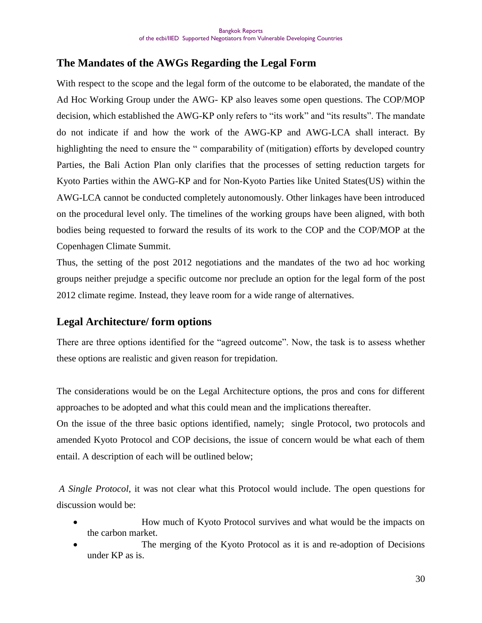# **The Mandates of the AWGs Regarding the Legal Form**

With respect to the scope and the legal form of the outcome to be elaborated, the mandate of the Ad Hoc Working Group under the AWG- KP also leaves some open questions. The COP/MOP decision, which established the AWG-KP only refers to "its work" and "its results". The mandate do not indicate if and how the work of the AWG-KP and AWG-LCA shall interact. By highlighting the need to ensure the " comparability of (mitigation) efforts by developed country Parties, the Bali Action Plan only clarifies that the processes of setting reduction targets for Kyoto Parties within the AWG-KP and for Non-Kyoto Parties like United States(US) within the AWG-LCA cannot be conducted completely autonomously. Other linkages have been introduced on the procedural level only. The timelines of the working groups have been aligned, with both bodies being requested to forward the results of its work to the COP and the COP/MOP at the Copenhagen Climate Summit.

Thus, the setting of the post 2012 negotiations and the mandates of the two ad hoc working groups neither prejudge a specific outcome nor preclude an option for the legal form of the post 2012 climate regime. Instead, they leave room for a wide range of alternatives.

# **Legal Architecture/ form options**

There are three options identified for the "agreed outcome". Now, the task is to assess whether these options are realistic and given reason for trepidation.

The considerations would be on the Legal Architecture options, the pros and cons for different approaches to be adopted and what this could mean and the implications thereafter.

On the issue of the three basic options identified, namely; single Protocol, two protocols and amended Kyoto Protocol and COP decisions, the issue of concern would be what each of them entail. A description of each will be outlined below;

*A Single Protocol*, it was not clear what this Protocol would include. The open questions for discussion would be:

- How much of Kyoto Protocol survives and what would be the impacts on the carbon market.
- The merging of the Kyoto Protocol as it is and re-adoption of Decisions under KP as is.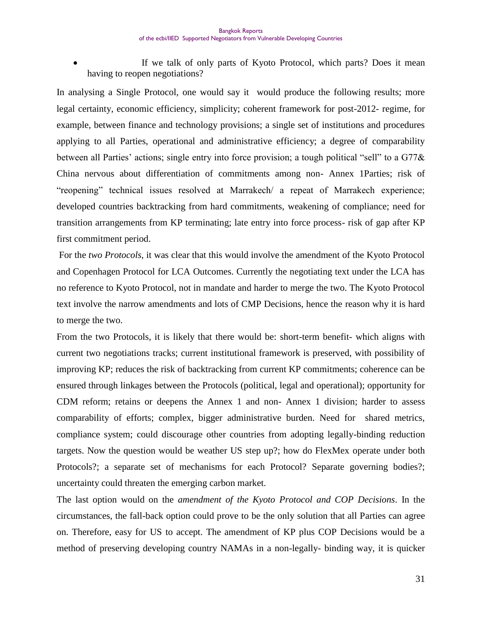If we talk of only parts of Kyoto Protocol, which parts? Does it mean having to reopen negotiations?

In analysing a Single Protocol, one would say it would produce the following results; more legal certainty, economic efficiency, simplicity; coherent framework for post-2012- regime, for example, between finance and technology provisions; a single set of institutions and procedures applying to all Parties, operational and administrative efficiency; a degree of comparability between all Parties' actions; single entry into force provision; a tough political "sell" to a G77& China nervous about differentiation of commitments among non- Annex 1Parties; risk of "reopening" technical issues resolved at Marrakech/ a repeat of Marrakech experience; developed countries backtracking from hard commitments, weakening of compliance; need for transition arrangements from KP terminating; late entry into force process- risk of gap after KP first commitment period.

For the *two Protocols*, it was clear that this would involve the amendment of the Kyoto Protocol and Copenhagen Protocol for LCA Outcomes. Currently the negotiating text under the LCA has no reference to Kyoto Protocol, not in mandate and harder to merge the two. The Kyoto Protocol text involve the narrow amendments and lots of CMP Decisions, hence the reason why it is hard to merge the two.

From the two Protocols, it is likely that there would be: short-term benefit- which aligns with current two negotiations tracks; current institutional framework is preserved, with possibility of improving KP; reduces the risk of backtracking from current KP commitments; coherence can be ensured through linkages between the Protocols (political, legal and operational); opportunity for CDM reform; retains or deepens the Annex 1 and non- Annex 1 division; harder to assess comparability of efforts; complex, bigger administrative burden. Need for shared metrics, compliance system; could discourage other countries from adopting legally-binding reduction targets. Now the question would be weather US step up?; how do FlexMex operate under both Protocols?; a separate set of mechanisms for each Protocol? Separate governing bodies?; uncertainty could threaten the emerging carbon market.

The last option would on the *amendment of the Kyoto Protocol and COP Decisions*. In the circumstances, the fall-back option could prove to be the only solution that all Parties can agree on. Therefore, easy for US to accept. The amendment of KP plus COP Decisions would be a method of preserving developing country NAMAs in a non-legally- binding way, it is quicker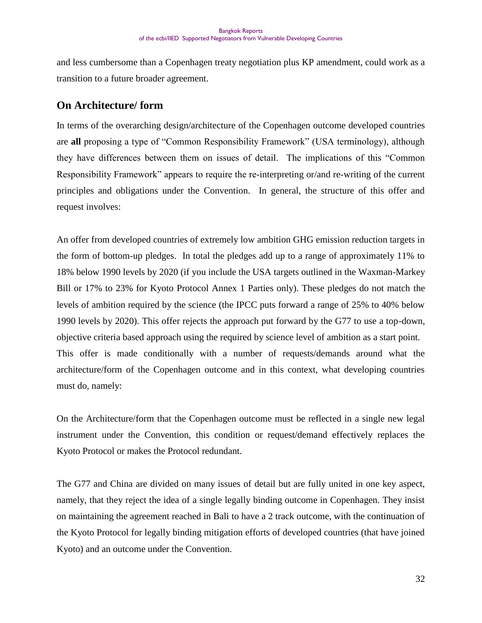and less cumbersome than a Copenhagen treaty negotiation plus KP amendment, could work as a transition to a future broader agreement.

# **On Architecture/ form**

In terms of the overarching design/architecture of the Copenhagen outcome developed countries are **all** proposing a type of "Common Responsibility Framework" (USA terminology), although they have differences between them on issues of detail. The implications of this "Common Responsibility Framework" appears to require the re-interpreting or/and re-writing of the current principles and obligations under the Convention. In general, the structure of this offer and request involves:

An offer from developed countries of extremely low ambition GHG emission reduction targets in the form of bottom-up pledges. In total the pledges add up to a range of approximately 11% to 18% below 1990 levels by 2020 (if you include the USA targets outlined in the Waxman-Markey Bill or 17% to 23% for Kyoto Protocol Annex 1 Parties only). These pledges do not match the levels of ambition required by the science (the IPCC puts forward a range of 25% to 40% below 1990 levels by 2020). This offer rejects the approach put forward by the G77 to use a top-down, objective criteria based approach using the required by science level of ambition as a start point. This offer is made conditionally with a number of requests/demands around what the architecture/form of the Copenhagen outcome and in this context, what developing countries must do, namely:

On the Architecture/form that the Copenhagen outcome must be reflected in a single new legal instrument under the Convention, this condition or request/demand effectively replaces the Kyoto Protocol or makes the Protocol redundant.

The G77 and China are divided on many issues of detail but are fully united in one key aspect, namely, that they reject the idea of a single legally binding outcome in Copenhagen. They insist on maintaining the agreement reached in Bali to have a 2 track outcome, with the continuation of the Kyoto Protocol for legally binding mitigation efforts of developed countries (that have joined Kyoto) and an outcome under the Convention.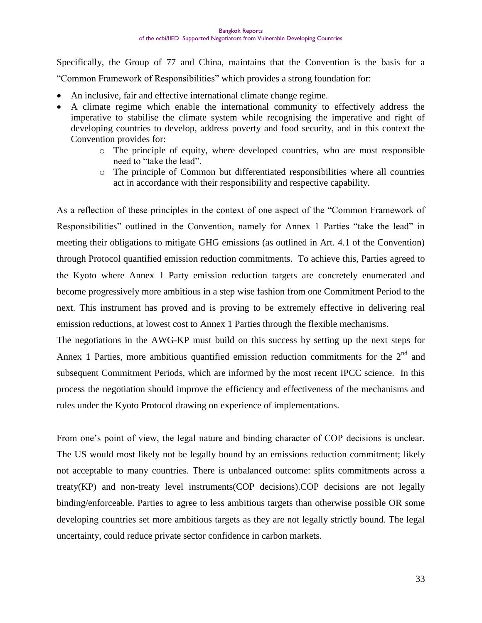Specifically, the Group of 77 and China, maintains that the Convention is the basis for a "Common Framework of Responsibilities" which provides a strong foundation for:

- An inclusive, fair and effective international climate change regime.
- A climate regime which enable the international community to effectively address the imperative to stabilise the climate system while recognising the imperative and right of developing countries to develop, address poverty and food security, and in this context the Convention provides for:
	- o The principle of equity, where developed countries, who are most responsible need to "take the lead".
	- o The principle of Common but differentiated responsibilities where all countries act in accordance with their responsibility and respective capability.

As a reflection of these principles in the context of one aspect of the "Common Framework of Responsibilities" outlined in the Convention, namely for Annex 1 Parties "take the lead" in meeting their obligations to mitigate GHG emissions (as outlined in Art. 4.1 of the Convention) through Protocol quantified emission reduction commitments. To achieve this, Parties agreed to the Kyoto where Annex 1 Party emission reduction targets are concretely enumerated and become progressively more ambitious in a step wise fashion from one Commitment Period to the next. This instrument has proved and is proving to be extremely effective in delivering real emission reductions, at lowest cost to Annex 1 Parties through the flexible mechanisms.

The negotiations in the AWG-KP must build on this success by setting up the next steps for Annex 1 Parties, more ambitious quantified emission reduction commitments for the  $2<sup>nd</sup>$  and subsequent Commitment Periods, which are informed by the most recent IPCC science. In this process the negotiation should improve the efficiency and effectiveness of the mechanisms and rules under the Kyoto Protocol drawing on experience of implementations.

From one's point of view, the legal nature and binding character of COP decisions is unclear. The US would most likely not be legally bound by an emissions reduction commitment; likely not acceptable to many countries. There is unbalanced outcome: splits commitments across a treaty(KP) and non-treaty level instruments(COP decisions).COP decisions are not legally binding/enforceable. Parties to agree to less ambitious targets than otherwise possible OR some developing countries set more ambitious targets as they are not legally strictly bound. The legal uncertainty, could reduce private sector confidence in carbon markets.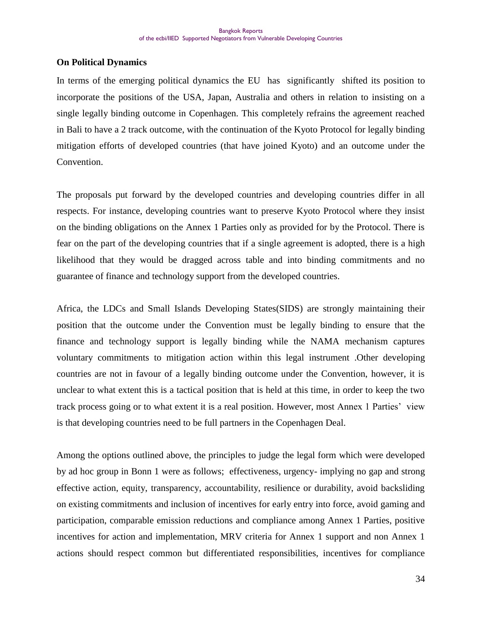#### **On Political Dynamics**

In terms of the emerging political dynamics the EU has significantly shifted its position to incorporate the positions of the USA, Japan, Australia and others in relation to insisting on a single legally binding outcome in Copenhagen. This completely refrains the agreement reached in Bali to have a 2 track outcome, with the continuation of the Kyoto Protocol for legally binding mitigation efforts of developed countries (that have joined Kyoto) and an outcome under the Convention.

The proposals put forward by the developed countries and developing countries differ in all respects. For instance, developing countries want to preserve Kyoto Protocol where they insist on the binding obligations on the Annex 1 Parties only as provided for by the Protocol. There is fear on the part of the developing countries that if a single agreement is adopted, there is a high likelihood that they would be dragged across table and into binding commitments and no guarantee of finance and technology support from the developed countries.

Africa, the LDCs and Small Islands Developing States(SIDS) are strongly maintaining their position that the outcome under the Convention must be legally binding to ensure that the finance and technology support is legally binding while the NAMA mechanism captures voluntary commitments to mitigation action within this legal instrument .Other developing countries are not in favour of a legally binding outcome under the Convention, however, it is unclear to what extent this is a tactical position that is held at this time, in order to keep the two track process going or to what extent it is a real position. However, most Annex 1 Parties" view is that developing countries need to be full partners in the Copenhagen Deal.

Among the options outlined above, the principles to judge the legal form which were developed by ad hoc group in Bonn 1 were as follows; effectiveness, urgency- implying no gap and strong effective action, equity, transparency, accountability, resilience or durability, avoid backsliding on existing commitments and inclusion of incentives for early entry into force, avoid gaming and participation, comparable emission reductions and compliance among Annex 1 Parties, positive incentives for action and implementation, MRV criteria for Annex 1 support and non Annex 1 actions should respect common but differentiated responsibilities, incentives for compliance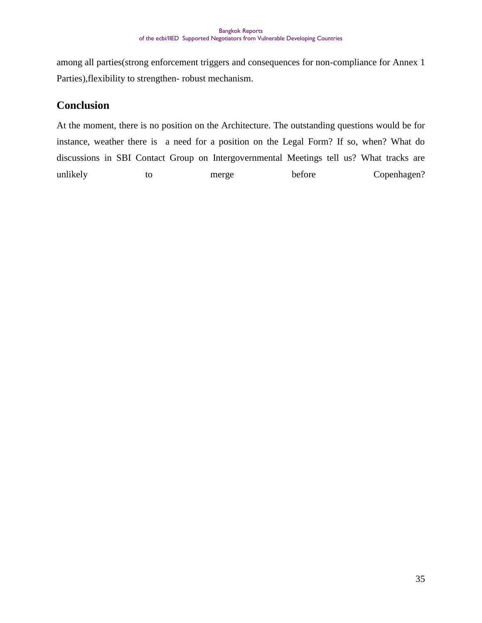among all parties(strong enforcement triggers and consequences for non-compliance for Annex 1 Parties),flexibility to strengthen- robust mechanism.

# **Conclusion**

At the moment, there is no position on the Architecture. The outstanding questions would be for instance, weather there is a need for a position on the Legal Form? If so, when? What do discussions in SBI Contact Group on Intergovernmental Meetings tell us? What tracks are unlikely to merge before Copenhagen?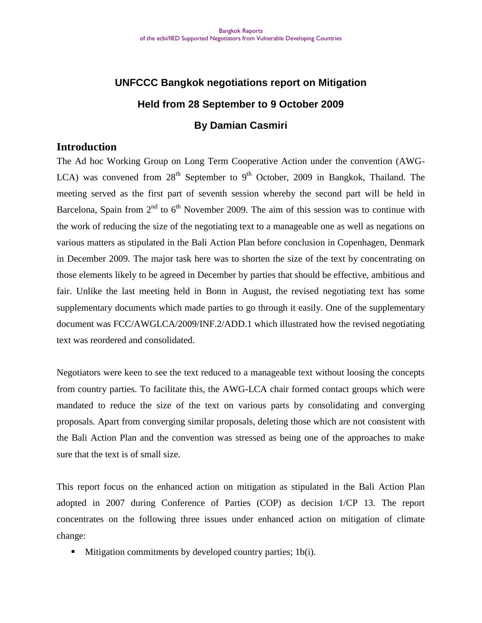# **UNFCCC Bangkok negotiations report on Mitigation Held from 28 September to 9 October 2009 By Damian Casmiri**

#### **Introduction**

The Ad hoc Working Group on Long Term Cooperative Action under the convention (AWG-LCA) was convened from  $28<sup>th</sup>$  September to 9<sup>th</sup> October, 2009 in Bangkok, Thailand. The meeting served as the first part of seventh session whereby the second part will be held in Barcelona, Spain from  $2<sup>nd</sup>$  to  $6<sup>th</sup>$  November 2009. The aim of this session was to continue with the work of reducing the size of the negotiating text to a manageable one as well as negations on various matters as stipulated in the Bali Action Plan before conclusion in Copenhagen, Denmark in December 2009. The major task here was to shorten the size of the text by concentrating on those elements likely to be agreed in December by parties that should be effective, ambitious and fair. Unlike the last meeting held in Bonn in August, the revised negotiating text has some supplementary documents which made parties to go through it easily. One of the supplementary document was FCC/AWGLCA/2009/INF.2/ADD.1 which illustrated how the revised negotiating text was reordered and consolidated.

Negotiators were keen to see the text reduced to a manageable text without loosing the concepts from country parties. To facilitate this, the AWG-LCA chair formed contact groups which were mandated to reduce the size of the text on various parts by consolidating and converging proposals. Apart from converging similar proposals, deleting those which are not consistent with the Bali Action Plan and the convention was stressed as being one of the approaches to make sure that the text is of small size.

This report focus on the enhanced action on mitigation as stipulated in the Bali Action Plan adopted in 2007 during Conference of Parties (COP) as decision 1/CP 13. The report concentrates on the following three issues under enhanced action on mitigation of climate change:

 $\blacksquare$  Mitigation commitments by developed country parties; 1b(i).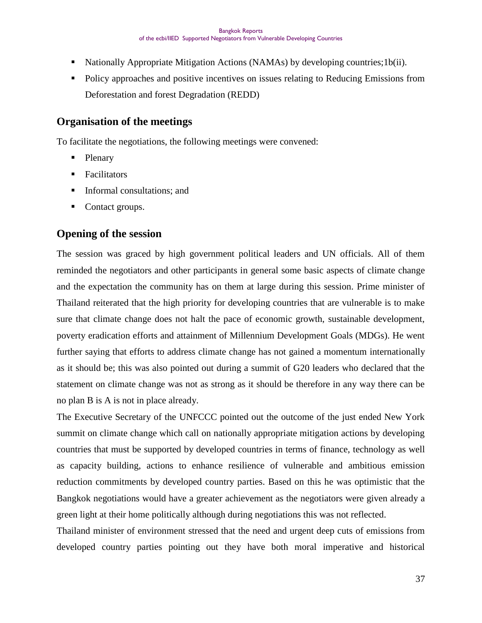- Nationally Appropriate Mitigation Actions (NAMAs) by developing countries;1b(ii).
- Policy approaches and positive incentives on issues relating to Reducing Emissions from Deforestation and forest Degradation (REDD)

## **Organisation of the meetings**

To facilitate the negotiations, the following meetings were convened:

- Plenary
- **Facilitators**
- **Informal consultations; and**
- Contact groups.

## **Opening of the session**

The session was graced by high government political leaders and UN officials. All of them reminded the negotiators and other participants in general some basic aspects of climate change and the expectation the community has on them at large during this session. Prime minister of Thailand reiterated that the high priority for developing countries that are vulnerable is to make sure that climate change does not halt the pace of economic growth, sustainable development, poverty eradication efforts and attainment of Millennium Development Goals (MDGs). He went further saying that efforts to address climate change has not gained a momentum internationally as it should be; this was also pointed out during a summit of G20 leaders who declared that the statement on climate change was not as strong as it should be therefore in any way there can be no plan B is A is not in place already.

The Executive Secretary of the UNFCCC pointed out the outcome of the just ended New York summit on climate change which call on nationally appropriate mitigation actions by developing countries that must be supported by developed countries in terms of finance, technology as well as capacity building, actions to enhance resilience of vulnerable and ambitious emission reduction commitments by developed country parties. Based on this he was optimistic that the Bangkok negotiations would have a greater achievement as the negotiators were given already a green light at their home politically although during negotiations this was not reflected.

Thailand minister of environment stressed that the need and urgent deep cuts of emissions from developed country parties pointing out they have both moral imperative and historical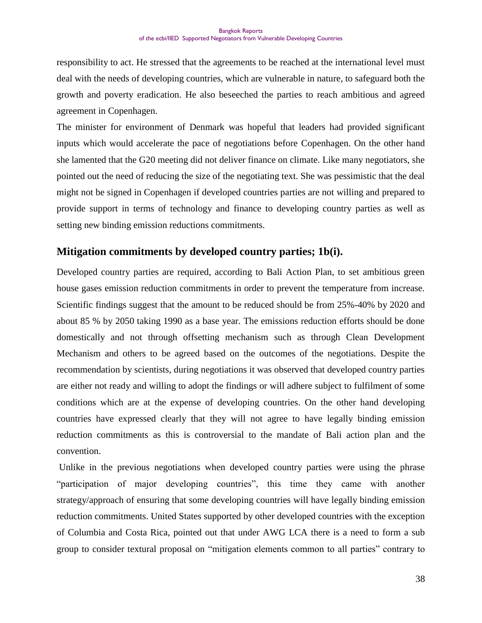responsibility to act. He stressed that the agreements to be reached at the international level must deal with the needs of developing countries, which are vulnerable in nature, to safeguard both the growth and poverty eradication. He also beseeched the parties to reach ambitious and agreed agreement in Copenhagen.

The minister for environment of Denmark was hopeful that leaders had provided significant inputs which would accelerate the pace of negotiations before Copenhagen. On the other hand she lamented that the G20 meeting did not deliver finance on climate. Like many negotiators, she pointed out the need of reducing the size of the negotiating text. She was pessimistic that the deal might not be signed in Copenhagen if developed countries parties are not willing and prepared to provide support in terms of technology and finance to developing country parties as well as setting new binding emission reductions commitments.

# **Mitigation commitments by developed country parties; 1b(i).**

Developed country parties are required, according to Bali Action Plan, to set ambitious green house gases emission reduction commitments in order to prevent the temperature from increase. Scientific findings suggest that the amount to be reduced should be from 25%-40% by 2020 and about 85 % by 2050 taking 1990 as a base year. The emissions reduction efforts should be done domestically and not through offsetting mechanism such as through Clean Development Mechanism and others to be agreed based on the outcomes of the negotiations. Despite the recommendation by scientists, during negotiations it was observed that developed country parties are either not ready and willing to adopt the findings or will adhere subject to fulfilment of some conditions which are at the expense of developing countries. On the other hand developing countries have expressed clearly that they will not agree to have legally binding emission reduction commitments as this is controversial to the mandate of Bali action plan and the convention.

Unlike in the previous negotiations when developed country parties were using the phrase "participation of major developing countries", this time they came with another strategy/approach of ensuring that some developing countries will have legally binding emission reduction commitments. United States supported by other developed countries with the exception of Columbia and Costa Rica, pointed out that under AWG LCA there is a need to form a sub group to consider textural proposal on "mitigation elements common to all parties" contrary to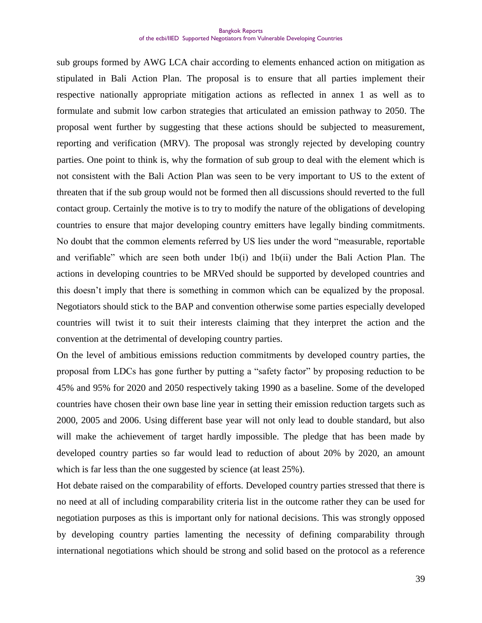sub groups formed by AWG LCA chair according to elements enhanced action on mitigation as stipulated in Bali Action Plan. The proposal is to ensure that all parties implement their respective nationally appropriate mitigation actions as reflected in annex 1 as well as to formulate and submit low carbon strategies that articulated an emission pathway to 2050. The proposal went further by suggesting that these actions should be subjected to measurement, reporting and verification (MRV). The proposal was strongly rejected by developing country parties. One point to think is, why the formation of sub group to deal with the element which is not consistent with the Bali Action Plan was seen to be very important to US to the extent of threaten that if the sub group would not be formed then all discussions should reverted to the full contact group. Certainly the motive is to try to modify the nature of the obligations of developing countries to ensure that major developing country emitters have legally binding commitments. No doubt that the common elements referred by US lies under the word "measurable, reportable and verifiable" which are seen both under 1b(i) and 1b(ii) under the Bali Action Plan. The actions in developing countries to be MRVed should be supported by developed countries and this doesn"t imply that there is something in common which can be equalized by the proposal. Negotiators should stick to the BAP and convention otherwise some parties especially developed countries will twist it to suit their interests claiming that they interpret the action and the convention at the detrimental of developing country parties.

On the level of ambitious emissions reduction commitments by developed country parties, the proposal from LDCs has gone further by putting a "safety factor" by proposing reduction to be 45% and 95% for 2020 and 2050 respectively taking 1990 as a baseline. Some of the developed countries have chosen their own base line year in setting their emission reduction targets such as 2000, 2005 and 2006. Using different base year will not only lead to double standard, but also will make the achievement of target hardly impossible. The pledge that has been made by developed country parties so far would lead to reduction of about 20% by 2020, an amount which is far less than the one suggested by science (at least 25%).

Hot debate raised on the comparability of efforts. Developed country parties stressed that there is no need at all of including comparability criteria list in the outcome rather they can be used for negotiation purposes as this is important only for national decisions. This was strongly opposed by developing country parties lamenting the necessity of defining comparability through international negotiations which should be strong and solid based on the protocol as a reference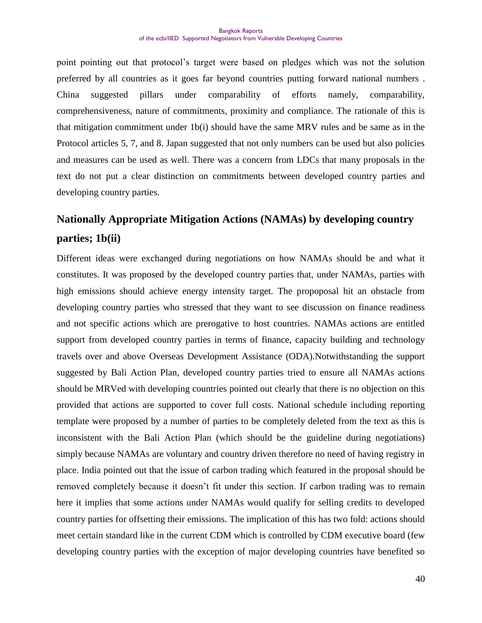point pointing out that protocol"s target were based on pledges which was not the solution preferred by all countries as it goes far beyond countries putting forward national numbers . China suggested pillars under comparability of efforts namely, comparability, comprehensiveness, nature of commitments, proximity and compliance. The rationale of this is that mitigation commitment under 1b(i) should have the same MRV rules and be same as in the Protocol articles 5, 7, and 8. Japan suggested that not only numbers can be used but also policies and measures can be used as well. There was a concern from LDCs that many proposals in the text do not put a clear distinction on commitments between developed country parties and developing country parties.

# **Nationally Appropriate Mitigation Actions (NAMAs) by developing country parties; 1b(ii)**

Different ideas were exchanged during negotiations on how NAMAs should be and what it constitutes. It was proposed by the developed country parties that, under NAMAs, parties with high emissions should achieve energy intensity target. The propoposal hit an obstacle from developing country parties who stressed that they want to see discussion on finance readiness and not specific actions which are prerogative to host countries. NAMAs actions are entitled support from developed country parties in terms of finance, capacity building and technology travels over and above Overseas Development Assistance (ODA).Notwithstanding the support suggested by Bali Action Plan, developed country parties tried to ensure all NAMAs actions should be MRVed with developing countries pointed out clearly that there is no objection on this provided that actions are supported to cover full costs. National schedule including reporting template were proposed by a number of parties to be completely deleted from the text as this is inconsistent with the Bali Action Plan (which should be the guideline during negotiations) simply because NAMAs are voluntary and country driven therefore no need of having registry in place. India pointed out that the issue of carbon trading which featured in the proposal should be removed completely because it doesn't fit under this section. If carbon trading was to remain here it implies that some actions under NAMAs would qualify for selling credits to developed country parties for offsetting their emissions. The implication of this has two fold: actions should meet certain standard like in the current CDM which is controlled by CDM executive board (few developing country parties with the exception of major developing countries have benefited so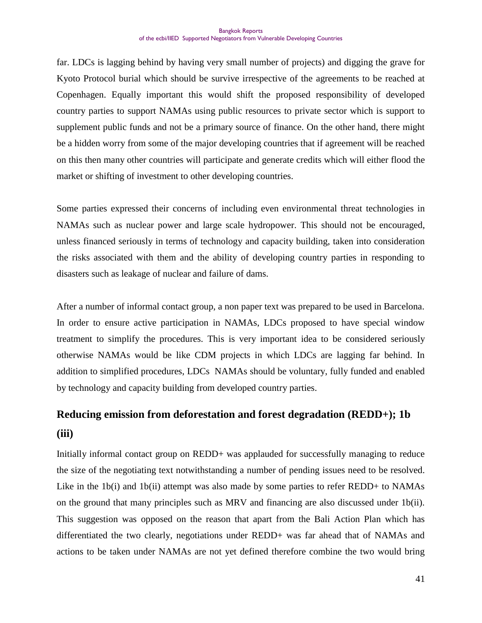far. LDCs is lagging behind by having very small number of projects) and digging the grave for Kyoto Protocol burial which should be survive irrespective of the agreements to be reached at Copenhagen. Equally important this would shift the proposed responsibility of developed country parties to support NAMAs using public resources to private sector which is support to supplement public funds and not be a primary source of finance. On the other hand, there might be a hidden worry from some of the major developing countries that if agreement will be reached on this then many other countries will participate and generate credits which will either flood the market or shifting of investment to other developing countries.

Some parties expressed their concerns of including even environmental threat technologies in NAMAs such as nuclear power and large scale hydropower. This should not be encouraged, unless financed seriously in terms of technology and capacity building, taken into consideration the risks associated with them and the ability of developing country parties in responding to disasters such as leakage of nuclear and failure of dams.

After a number of informal contact group, a non paper text was prepared to be used in Barcelona. In order to ensure active participation in NAMAs, LDCs proposed to have special window treatment to simplify the procedures. This is very important idea to be considered seriously otherwise NAMAs would be like CDM projects in which LDCs are lagging far behind. In addition to simplified procedures, LDCs NAMAs should be voluntary, fully funded and enabled by technology and capacity building from developed country parties.

# **Reducing emission from deforestation and forest degradation (REDD+); 1b (iii)**

Initially informal contact group on REDD+ was applauded for successfully managing to reduce the size of the negotiating text notwithstanding a number of pending issues need to be resolved. Like in the 1b(i) and 1b(ii) attempt was also made by some parties to refer REDD+ to NAMAs on the ground that many principles such as MRV and financing are also discussed under 1b(ii). This suggestion was opposed on the reason that apart from the Bali Action Plan which has differentiated the two clearly, negotiations under REDD+ was far ahead that of NAMAs and actions to be taken under NAMAs are not yet defined therefore combine the two would bring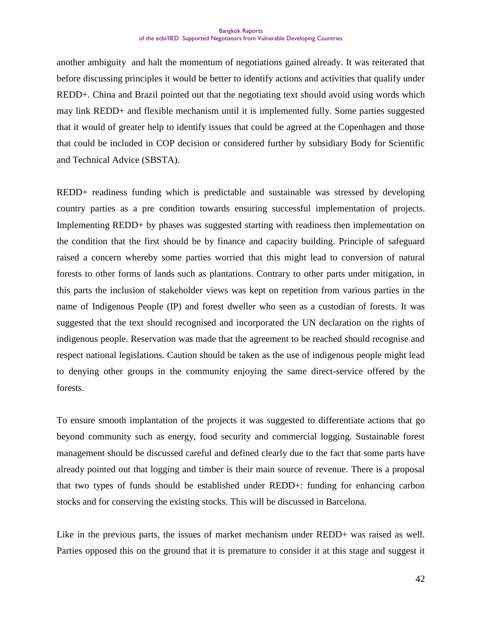another ambiguity and halt the momentum of negotiations gained already. It was reiterated that before discussing principles it would be better to identify actions and activities that qualify under REDD+. China and Brazil pointed out that the negotiating text should avoid using words which may link REDD+ and flexible mechanism until it is implemented fully. Some parties suggested that it would of greater help to identify issues that could be agreed at the Copenhagen and those that could be included in COP decision or considered further by subsidiary Body for Scientific and Technical Advice (SBSTA).

REDD+ readiness funding which is predictable and sustainable was stressed by developing country parties as a pre condition towards ensuring successful implementation of projects. Implementing REDD+ by phases was suggested starting with readiness then implementation on the condition that the first should be by finance and capacity building. Principle of safeguard raised a concern whereby some parties worried that this might lead to conversion of natural forests to other forms of lands such as plantations. Contrary to other parts under mitigation, in this parts the inclusion of stakeholder views was kept on repetition from various parties in the name of Indigenous People (IP) and forest dweller who seen as a custodian of forests. It was suggested that the text should recognised and incorporated the UN declaration on the rights of indigenous people. Reservation was made that the agreement to be reached should recognise and respect national legislations. Caution should be taken as the use of indigenous people might lead to denying other groups in the community enjoying the same direct-service offered by the forests.

To ensure smooth implantation of the projects it was suggested to differentiate actions that go beyond community such as energy, food security and commercial logging. Sustainable forest management should be discussed careful and defined clearly due to the fact that some parts have already pointed out that logging and timber is their main source of revenue. There is a proposal that two types of funds should be established under REDD+: funding for enhancing carbon stocks and for conserving the existing stocks. This will be discussed in Barcelona.

Like in the previous parts, the issues of market mechanism under REDD+ was raised as well. Parties opposed this on the ground that it is premature to consider it at this stage and suggest it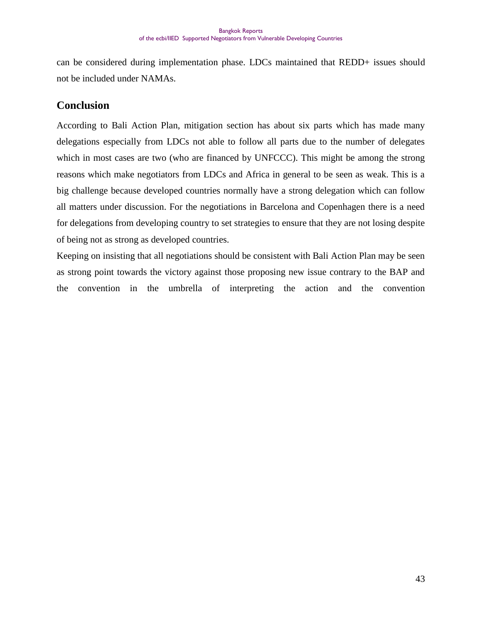can be considered during implementation phase. LDCs maintained that REDD+ issues should not be included under NAMAs.

# **Conclusion**

According to Bali Action Plan, mitigation section has about six parts which has made many delegations especially from LDCs not able to follow all parts due to the number of delegates which in most cases are two (who are financed by UNFCCC). This might be among the strong reasons which make negotiators from LDCs and Africa in general to be seen as weak. This is a big challenge because developed countries normally have a strong delegation which can follow all matters under discussion. For the negotiations in Barcelona and Copenhagen there is a need for delegations from developing country to set strategies to ensure that they are not losing despite of being not as strong as developed countries.

Keeping on insisting that all negotiations should be consistent with Bali Action Plan may be seen as strong point towards the victory against those proposing new issue contrary to the BAP and the convention in the umbrella of interpreting the action and the convention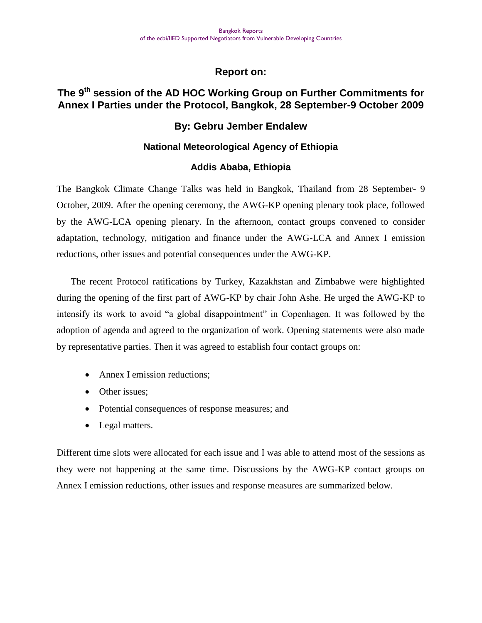#### **Report on:**

# **The 9th session of the AD HOC Working Group on Further Commitments for Annex I Parties under the Protocol, Bangkok, 28 September-9 October 2009**

#### **By: Gebru Jember Endalew**

#### **National Meteorological Agency of Ethiopia**

#### **Addis Ababa, Ethiopia**

The Bangkok Climate Change Talks was held in Bangkok, Thailand from 28 September- 9 October, 2009. After the opening ceremony, the AWG-KP opening plenary took place, followed by the AWG-LCA opening plenary. In the afternoon, contact groups convened to consider adaptation, technology, mitigation and finance under the AWG-LCA and Annex I emission reductions, other issues and potential consequences under the AWG-KP.

The recent Protocol ratifications by Turkey, Kazakhstan and Zimbabwe were highlighted during the opening of the first part of AWG-KP by chair John Ashe. He urged the AWG-KP to intensify its work to avoid "a global disappointment" in Copenhagen. It was followed by the adoption of agenda and agreed to the organization of work. Opening statements were also made by representative parties. Then it was agreed to establish four contact groups on:

- Annex I emission reductions:
- Other issues:
- Potential consequences of response measures; and
- Legal matters.

Different time slots were allocated for each issue and I was able to attend most of the sessions as they were not happening at the same time. Discussions by the AWG-KP contact groups on Annex I emission reductions, other issues and response measures are summarized below.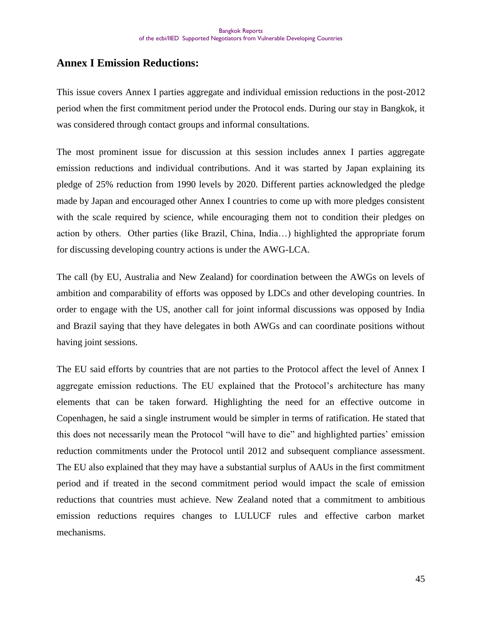# **Annex I Emission Reductions:**

This issue covers Annex I parties aggregate and individual emission reductions in the post-2012 period when the first commitment period under the Protocol ends. During our stay in Bangkok, it was considered through contact groups and informal consultations.

The most prominent issue for discussion at this session includes annex I parties aggregate emission reductions and individual contributions. And it was started by Japan explaining its pledge of 25% reduction from 1990 levels by 2020. Different parties acknowledged the pledge made by Japan and encouraged other Annex I countries to come up with more pledges consistent with the scale required by science, while encouraging them not to condition their pledges on action by others. Other parties (like Brazil, China, India…) highlighted the appropriate forum for discussing developing country actions is under the AWG-LCA.

The call (by EU, Australia and New Zealand) for coordination between the AWGs on levels of ambition and comparability of efforts was opposed by LDCs and other developing countries. In order to engage with the US, another call for joint informal discussions was opposed by India and Brazil saying that they have delegates in both AWGs and can coordinate positions without having joint sessions.

The EU said efforts by countries that are not parties to the Protocol affect the level of Annex I aggregate emission reductions. The EU explained that the Protocol's architecture has many elements that can be taken forward. Highlighting the need for an effective outcome in Copenhagen, he said a single instrument would be simpler in terms of ratification. He stated that this does not necessarily mean the Protocol "will have to die" and highlighted parties" emission reduction commitments under the Protocol until 2012 and subsequent compliance assessment. The EU also explained that they may have a substantial surplus of AAUs in the first commitment period and if treated in the second commitment period would impact the scale of emission reductions that countries must achieve. New Zealand noted that a commitment to ambitious emission reductions requires changes to LULUCF rules and effective carbon market mechanisms.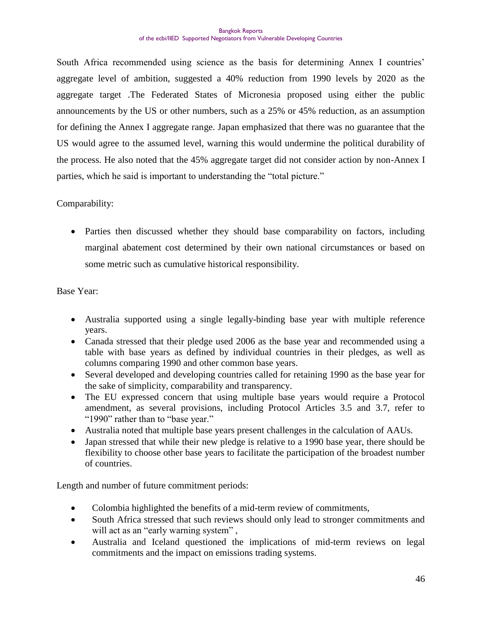South Africa recommended using science as the basis for determining Annex I countries" aggregate level of ambition, suggested a 40% reduction from 1990 levels by 2020 as the aggregate target .The Federated States of Micronesia proposed using either the public announcements by the US or other numbers, such as a 25% or 45% reduction, as an assumption for defining the Annex I aggregate range. Japan emphasized that there was no guarantee that the US would agree to the assumed level, warning this would undermine the political durability of the process. He also noted that the 45% aggregate target did not consider action by non-Annex I parties, which he said is important to understanding the "total picture."

#### Comparability:

 Parties then discussed whether they should base comparability on factors, including marginal abatement cost determined by their own national circumstances or based on some metric such as cumulative historical responsibility.

Base Year:

- Australia supported using a single legally-binding base year with multiple reference years.
- Canada stressed that their pledge used 2006 as the base year and recommended using a table with base years as defined by individual countries in their pledges, as well as columns comparing 1990 and other common base years.
- Several developed and developing countries called for retaining 1990 as the base year for the sake of simplicity, comparability and transparency.
- The EU expressed concern that using multiple base years would require a Protocol amendment, as several provisions, including Protocol Articles 3.5 and 3.7, refer to "1990" rather than to "base year."
- Australia noted that multiple base years present challenges in the calculation of AAUs.
- Japan stressed that while their new pledge is relative to a 1990 base year, there should be flexibility to choose other base years to facilitate the participation of the broadest number of countries.

Length and number of future commitment periods:

- Colombia highlighted the benefits of a mid-term review of commitments,
- South Africa stressed that such reviews should only lead to stronger commitments and will act as an "early warning system",
- Australia and Iceland questioned the implications of mid-term reviews on legal commitments and the impact on emissions trading systems.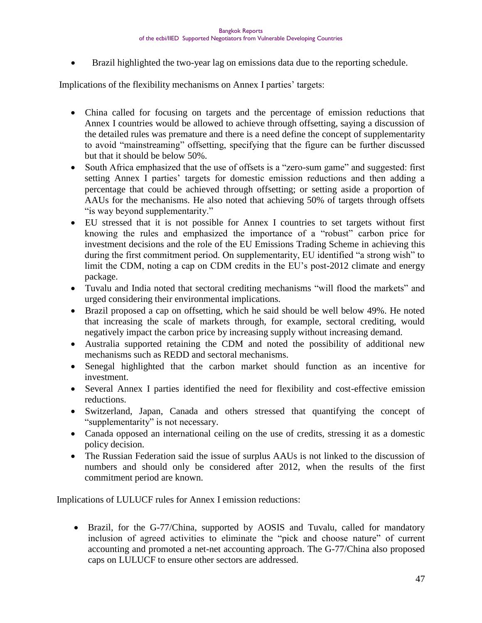Brazil highlighted the two-year lag on emissions data due to the reporting schedule.

Implications of the flexibility mechanisms on Annex I parties' targets:

- China called for focusing on targets and the percentage of emission reductions that Annex I countries would be allowed to achieve through offsetting, saying a discussion of the detailed rules was premature and there is a need define the concept of supplementarity to avoid "mainstreaming" offsetting, specifying that the figure can be further discussed but that it should be below 50%.
- South Africa emphasized that the use of offsets is a "zero-sum game" and suggested: first setting Annex I parties' targets for domestic emission reductions and then adding a percentage that could be achieved through offsetting; or setting aside a proportion of AAUs for the mechanisms. He also noted that achieving 50% of targets through offsets "is way beyond supplementarity."
- EU stressed that it is not possible for Annex I countries to set targets without first knowing the rules and emphasized the importance of a "robust" carbon price for investment decisions and the role of the EU Emissions Trading Scheme in achieving this during the first commitment period. On supplementarity, EU identified "a strong wish" to limit the CDM, noting a cap on CDM credits in the EU"s post-2012 climate and energy package.
- Tuvalu and India noted that sectoral crediting mechanisms "will flood the markets" and urged considering their environmental implications.
- Brazil proposed a cap on offsetting, which he said should be well below 49%. He noted that increasing the scale of markets through, for example, sectoral crediting, would negatively impact the carbon price by increasing supply without increasing demand.
- Australia supported retaining the CDM and noted the possibility of additional new mechanisms such as REDD and sectoral mechanisms.
- Senegal highlighted that the carbon market should function as an incentive for investment.
- Several Annex I parties identified the need for flexibility and cost-effective emission reductions.
- Switzerland, Japan, Canada and others stressed that quantifying the concept of "supplementarity" is not necessary.
- Canada opposed an international ceiling on the use of credits, stressing it as a domestic policy decision.
- The Russian Federation said the issue of surplus AAUs is not linked to the discussion of numbers and should only be considered after 2012, when the results of the first commitment period are known.

Implications of LULUCF rules for Annex I emission reductions:

 Brazil, for the G-77/China, supported by AOSIS and Tuvalu, called for mandatory inclusion of agreed activities to eliminate the "pick and choose nature" of current accounting and promoted a net-net accounting approach. The G-77/China also proposed caps on LULUCF to ensure other sectors are addressed.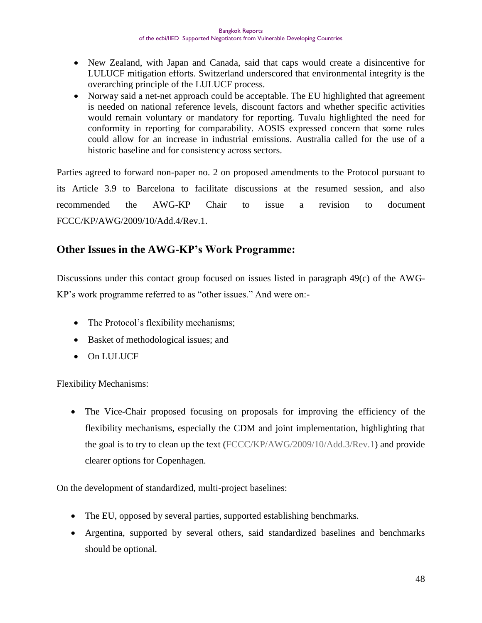- New Zealand, with Japan and Canada, said that caps would create a disincentive for LULUCF mitigation efforts. Switzerland underscored that environmental integrity is the overarching principle of the LULUCF process.
- Norway said a net-net approach could be acceptable. The EU highlighted that agreement is needed on national reference levels, discount factors and whether specific activities would remain voluntary or mandatory for reporting. Tuvalu highlighted the need for conformity in reporting for comparability. AOSIS expressed concern that some rules could allow for an increase in industrial emissions. Australia called for the use of a historic baseline and for consistency across sectors.

Parties agreed to forward non-paper no. 2 on proposed amendments to the Protocol pursuant to its Article 3.9 to Barcelona to facilitate discussions at the resumed session, and also recommended the AWG-KP Chair to issue a revision to document FCCC/KP/AWG/2009/10/Add.4/Rev.1.

# **Other Issues in the AWG-KP's Work Programme:**

Discussions under this contact group focused on issues listed in paragraph 49(c) of the AWG-KP"s work programme referred to as "other issues." And were on:-

- The Protocol's flexibility mechanisms;
- Basket of methodological issues; and
- On LULUCF

Flexibility Mechanisms:

 The Vice-Chair proposed focusing on proposals for improving the efficiency of the flexibility mechanisms, especially the CDM and joint implementation, highlighting that the goal is to try to clean up the text [\(FCCC/KP/AWG/2009/10/Add.3/Rev.1\)](http://unfccc.int/resource/docs/2009/awg9/eng/10a03r01.pdf) and provide clearer options for Copenhagen.

On the development of standardized, multi-project baselines:

- The EU, opposed by several parties, supported establishing benchmarks.
- Argentina, supported by several others, said standardized baselines and benchmarks should be optional.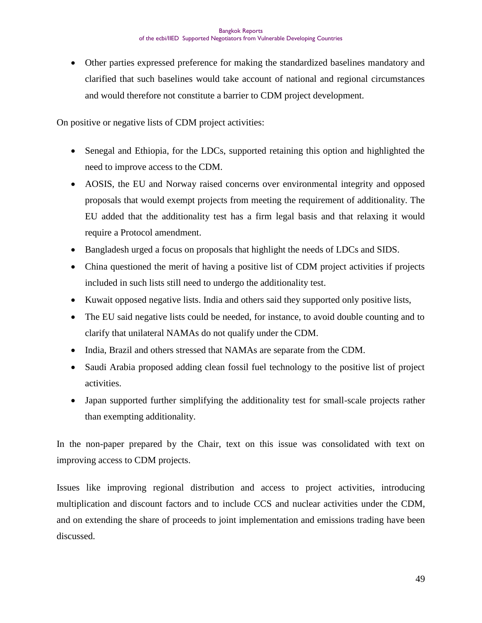Other parties expressed preference for making the standardized baselines mandatory and clarified that such baselines would take account of national and regional circumstances and would therefore not constitute a barrier to CDM project development.

On positive or negative lists of CDM project activities:

- Senegal and Ethiopia, for the LDCs, supported retaining this option and highlighted the need to improve access to the CDM.
- AOSIS, the EU and Norway raised concerns over environmental integrity and opposed proposals that would exempt projects from meeting the requirement of additionality. The EU added that the additionality test has a firm legal basis and that relaxing it would require a Protocol amendment.
- Bangladesh urged a focus on proposals that highlight the needs of LDCs and SIDS.
- China questioned the merit of having a positive list of CDM project activities if projects included in such lists still need to undergo the additionality test.
- Kuwait opposed negative lists. India and others said they supported only positive lists,
- The EU said negative lists could be needed, for instance, to avoid double counting and to clarify that unilateral NAMAs do not qualify under the CDM.
- India, Brazil and others stressed that NAMAs are separate from the CDM.
- Saudi Arabia proposed adding clean fossil fuel technology to the positive list of project activities.
- Japan supported further simplifying the additionality test for small-scale projects rather than exempting additionality.

In the non-paper prepared by the Chair, text on this issue was consolidated with text on improving access to CDM projects.

Issues like improving regional distribution and access to project activities, introducing multiplication and discount factors and to include CCS and nuclear activities under the CDM, and on extending the share of proceeds to joint implementation and emissions trading have been discussed.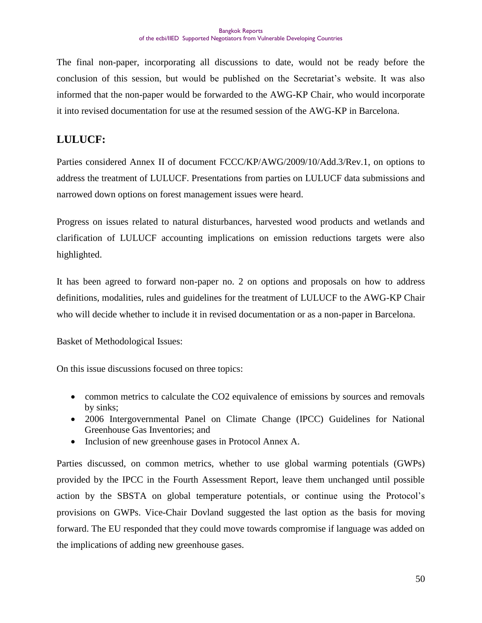The final non-paper, incorporating all discussions to date, would not be ready before the conclusion of this session, but would be published on the Secretariat"s website. It was also informed that the non-paper would be forwarded to the AWG-KP Chair, who would incorporate it into revised documentation for use at the resumed session of the AWG-KP in Barcelona.

# **LULUCF:**

Parties considered Annex II of document FCCC/KP/AWG/2009/10/Add.3/Rev.1, on options to address the treatment of LULUCF. Presentations from parties on LULUCF data submissions and narrowed down options on forest management issues were heard.

Progress on issues related to natural disturbances, harvested wood products and wetlands and clarification of LULUCF accounting implications on emission reductions targets were also highlighted.

It has been agreed to forward non-paper no. 2 on options and proposals on how to address definitions, modalities, rules and guidelines for the treatment of LULUCF to the AWG-KP Chair who will decide whether to include it in revised documentation or as a non-paper in Barcelona.

Basket of Methodological Issues:

On this issue discussions focused on three topics:

- common metrics to calculate the CO2 equivalence of emissions by sources and removals by sinks;
- 2006 Intergovernmental Panel on Climate Change (IPCC) Guidelines for National Greenhouse Gas Inventories; and
- Inclusion of new greenhouse gases in Protocol Annex A.

Parties discussed, on common metrics, whether to use global warming potentials (GWPs) provided by the IPCC in the Fourth Assessment Report, leave them unchanged until possible action by the SBSTA on global temperature potentials, or continue using the Protocol"s provisions on GWPs. Vice-Chair Dovland suggested the last option as the basis for moving forward. The EU responded that they could move towards compromise if language was added on the implications of adding new greenhouse gases.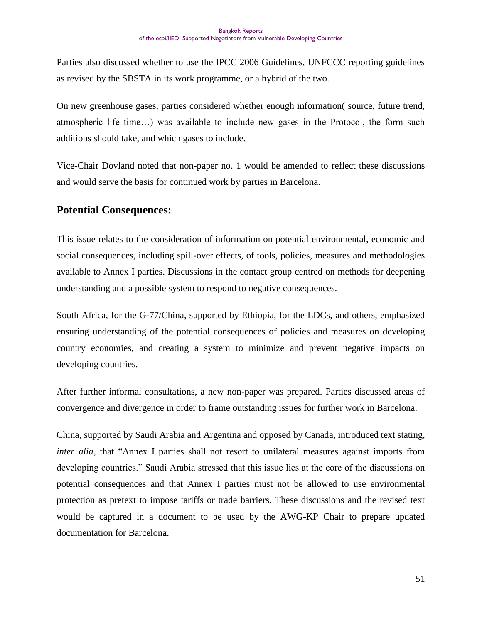Parties also discussed whether to use the IPCC 2006 Guidelines, UNFCCC reporting guidelines as revised by the SBSTA in its work programme, or a hybrid of the two.

On new greenhouse gases, parties considered whether enough information( source, future trend, atmospheric life time…) was available to include new gases in the Protocol, the form such additions should take, and which gases to include.

Vice-Chair Dovland noted that non-paper no. 1 would be amended to reflect these discussions and would serve the basis for continued work by parties in Barcelona.

#### **Potential Consequences:**

This issue relates to the consideration of information on potential environmental, economic and social consequences, including spill-over effects, of tools, policies, measures and methodologies available to Annex I parties. Discussions in the contact group centred on methods for deepening understanding and a possible system to respond to negative consequences.

South Africa, for the G-77/China, supported by Ethiopia, for the LDCs, and others, emphasized ensuring understanding of the potential consequences of policies and measures on developing country economies, and creating a system to minimize and prevent negative impacts on developing countries.

After further informal consultations, a new non-paper was prepared. Parties discussed areas of convergence and divergence in order to frame outstanding issues for further work in Barcelona.

China, supported by Saudi Arabia and Argentina and opposed by Canada, introduced text stating, *inter alia*, that "Annex I parties shall not resort to unilateral measures against imports from developing countries." Saudi Arabia stressed that this issue lies at the core of the discussions on potential consequences and that Annex I parties must not be allowed to use environmental protection as pretext to impose tariffs or trade barriers. These discussions and the revised text would be captured in a document to be used by the AWG-KP Chair to prepare updated documentation for Barcelona.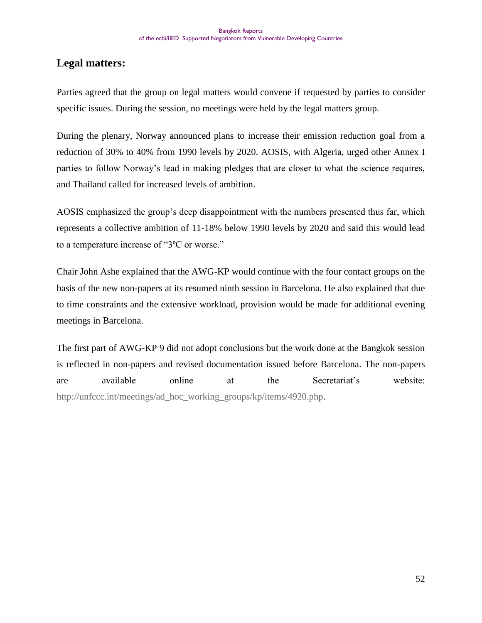# **Legal matters:**

Parties agreed that the group on legal matters would convene if requested by parties to consider specific issues. During the session, no meetings were held by the legal matters group.

During the plenary, Norway announced plans to increase their emission reduction goal from a reduction of 30% to 40% from 1990 levels by 2020. AOSIS, with Algeria, urged other Annex I parties to follow Norway"s lead in making pledges that are closer to what the science requires, and Thailand called for increased levels of ambition.

AOSIS emphasized the group"s deep disappointment with the numbers presented thus far, which represents a collective ambition of 11-18% below 1990 levels by 2020 and said this would lead to a temperature increase of "3ºC or worse."

Chair John Ashe explained that the AWG-KP would continue with the four contact groups on the basis of the new non-papers at its resumed ninth session in Barcelona. He also explained that due to time constraints and the extensive workload, provision would be made for additional evening meetings in Barcelona.

The first part of AWG-KP 9 did not adopt conclusions but the work done at the Bangkok session is reflected in non-papers and revised documentation issued before Barcelona. The non-papers are available online at the Secretariat"s website: [http://unfccc.int/meetings/ad\\_hoc\\_working\\_groups/kp/items/4920.php.](http://unfccc.int/meetings/ad_hoc_working_groups/kp/items/4920.php)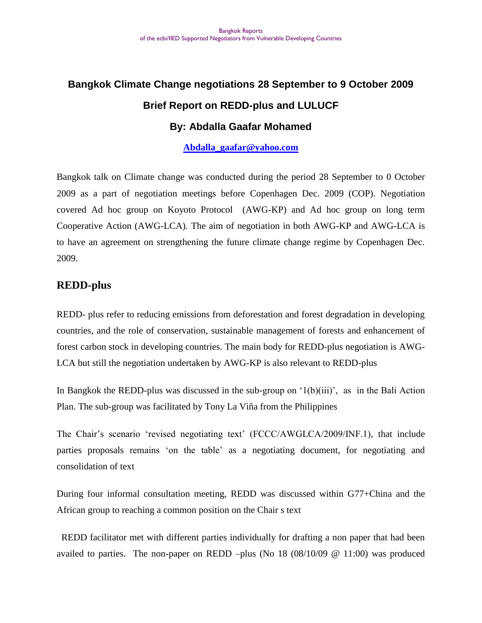# **Bangkok Climate Change negotiations 28 September to 9 October 2009 Brief Report on REDD-plus and LULUCF**

# **By: Abdalla Gaafar Mohamed**

**[Abdalla\\_gaafar@yahoo.com](mailto:Abdalla_gaafar@yahoo.com)**

Bangkok talk on Climate change was conducted during the period 28 September to 0 October 2009 as a part of negotiation meetings before Copenhagen Dec. 2009 (COP). Negotiation covered Ad hoc group on Koyoto Protocol (AWG-KP) and Ad hoc group on long term Cooperative Action (AWG-LCA). The aim of negotiation in both AWG-KP and AWG-LCA is to have an agreement on strengthening the future climate change regime by Copenhagen Dec. 2009.

## **REDD-plus**

REDD- plus refer to reducing emissions from deforestation and forest degradation in developing countries, and the role of conservation, sustainable management of forests and enhancement of forest carbon stock in developing countries. The main body for REDD-plus negotiation is AWG-LCA but still the negotiation undertaken by AWG-KP is also relevant to REDD-plus

In Bangkok the REDD-plus was discussed in the sub-group on  $(1(b)(iii))$ , as in the Bali Action Plan. The sub-group was facilitated by Tony La Viña from the Philippines

The Chair's scenario 'revised negotiating text' (FCCC/AWGLCA/2009/INF.1), that include parties proposals remains "on the table" as a negotiating document, for negotiating and consolidation of text

During four informal consultation meeting, REDD was discussed within G77+China and the African group to reaching a common position on the Chair s text

 REDD facilitator met with different parties individually for drafting a non paper that had been availed to parties. The non-paper on REDD –plus (No  $18(08/10/09 \text{ @ } 11:00)$  was produced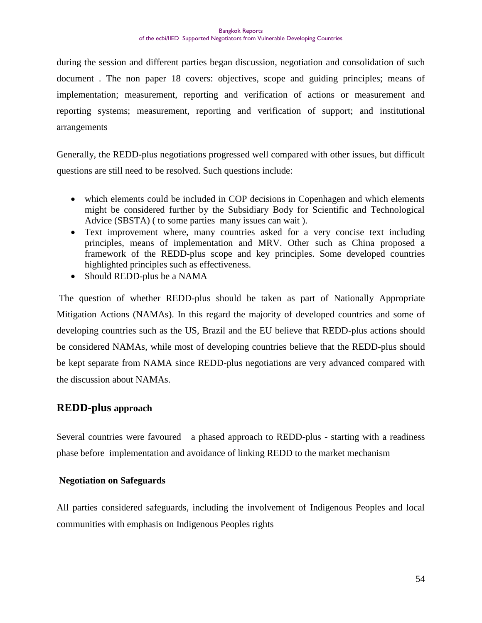during the session and different parties began discussion, negotiation and consolidation of such document . The non paper 18 covers: objectives, scope and guiding principles; means of implementation; measurement, reporting and verification of actions or measurement and reporting systems; measurement, reporting and verification of support; and institutional arrangements

Generally, the REDD-plus negotiations progressed well compared with other issues, but difficult questions are still need to be resolved. Such questions include:

- which elements could be included in COP decisions in Copenhagen and which elements might be considered further by the Subsidiary Body for Scientific and Technological Advice (SBSTA) ( to some parties many issues can wait ).
- Text improvement where, many countries asked for a very concise text including principles, means of implementation and MRV. Other such as China proposed a framework of the REDD-plus scope and key principles. Some developed countries highlighted principles such as effectiveness.
- Should REDD-plus be a NAMA

The question of whether REDD-plus should be taken as part of Nationally Appropriate Mitigation Actions (NAMAs). In this regard the majority of developed countries and some of developing countries such as the US, Brazil and the EU believe that REDD-plus actions should be considered NAMAs, while most of developing countries believe that the REDD-plus should be kept separate from NAMA since REDD-plus negotiations are very advanced compared with the discussion about NAMAs.

#### **REDD-plus approach**

Several countries were favoured a phased approach to REDD-plus - starting with a readiness phase before implementation and avoidance of linking REDD to the market mechanism

#### **Negotiation on Safeguards**

All parties considered safeguards, including the involvement of Indigenous Peoples and local communities with emphasis on Indigenous Peoples rights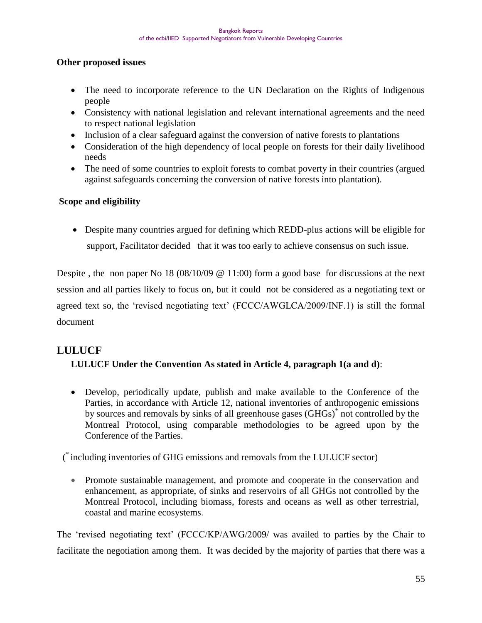#### **Other proposed issues**

- The need to incorporate reference to the UN Declaration on the Rights of Indigenous people
- Consistency with national legislation and relevant international agreements and the need to respect national legislation
- Inclusion of a clear safeguard against the conversion of native forests to plantations
- Consideration of the high dependency of local people on forests for their daily livelihood needs
- The need of some countries to exploit forests to combat poverty in their countries (argued against safeguards concerning the conversion of native forests into plantation).

#### **Scope and eligibility**

 Despite many countries argued for defining which REDD-plus actions will be eligible for support, Facilitator decided that it was too early to achieve consensus on such issue.

Despite, the non paper No 18 (08/10/09  $\omega$  11:00) form a good base for discussions at the next session and all parties likely to focus on, but it could not be considered as a negotiating text or agreed text so, the 'revised negotiating text' (FCCC/AWGLCA/2009/INF.1) is still the formal document

# **LULUCF**

# **LULUCF Under the Convention As stated in Article 4, paragraph 1(a and d)**:

 Develop, periodically update, publish and make available to the Conference of the Parties, in accordance with Article 12, national inventories of anthropogenic emissions by sources and removals by sinks of all greenhouse gases (GHGs)<sup>\*</sup> not controlled by the Montreal Protocol, using comparable methodologies to be agreed upon by the Conference of the Parties.

( \* including inventories of GHG emissions and removals from the LULUCF sector)

• Promote sustainable management, and promote and cooperate in the conservation and enhancement, as appropriate, of sinks and reservoirs of all GHGs not controlled by the Montreal Protocol, including biomass, forests and oceans as well as other terrestrial, coastal and marine ecosystems.

The 'revised negotiating text' (FCCC/KP/AWG/2009/ was availed to parties by the Chair to facilitate the negotiation among them. It was decided by the majority of parties that there was a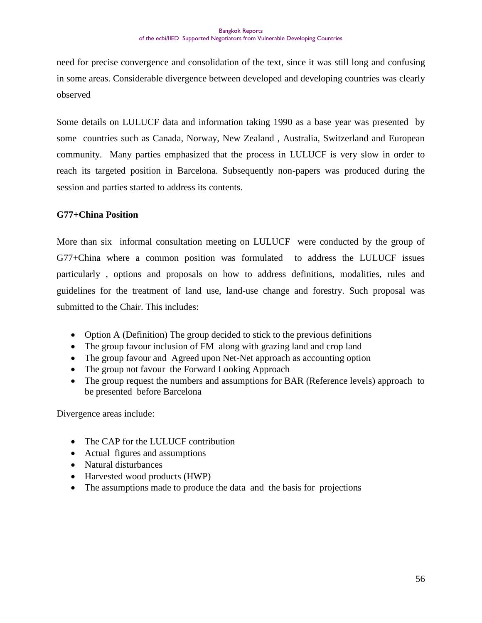need for precise convergence and consolidation of the text, since it was still long and confusing in some areas. Considerable divergence between developed and developing countries was clearly observed

Some details on LULUCF data and information taking 1990 as a base year was presented by some countries such as Canada, Norway, New Zealand , Australia, Switzerland and European community. Many parties emphasized that the process in LULUCF is very slow in order to reach its targeted position in Barcelona. Subsequently non-papers was produced during the session and parties started to address its contents.

#### **G77+China Position**

More than six informal consultation meeting on LULUCF were conducted by the group of G77+China where a common position was formulated to address the LULUCF issues particularly , options and proposals on how to address definitions, modalities, rules and guidelines for the treatment of land use, land-use change and forestry. Such proposal was submitted to the Chair. This includes:

- Option A (Definition) The group decided to stick to the previous definitions
- The group favour inclusion of FM along with grazing land and crop land
- The group favour and Agreed upon Net-Net approach as accounting option
- The group not favour the Forward Looking Approach
- The group request the numbers and assumptions for BAR (Reference levels) approach to be presented before Barcelona

Divergence areas include:

- The CAP for the LULUCF contribution
- Actual figures and assumptions
- Natural disturbances
- Harvested wood products (HWP)
- The assumptions made to produce the data and the basis for projections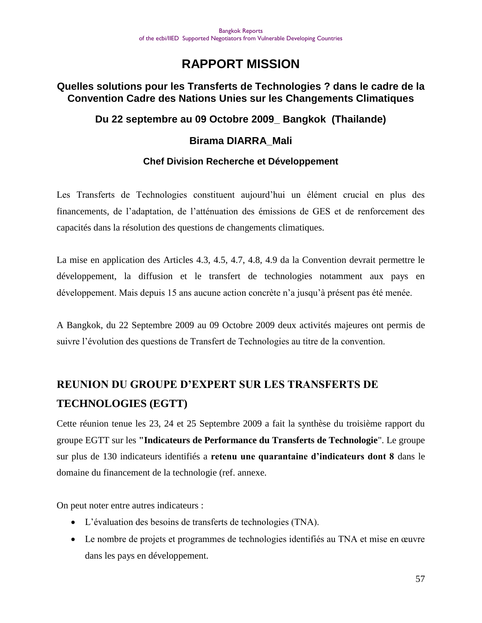# **RAPPORT MISSION**

## **Quelles solutions pour les Transferts de Technologies ? dans le cadre de la Convention Cadre des Nations Unies sur les Changements Climatiques**

# **Du 22 septembre au 09 Octobre 2009\_ Bangkok (Thailande)**

## **Birama DIARRA\_Mali**

## **Chef Division Recherche et Développement**

Les Transferts de Technologies constituent aujourd"hui un élément crucial en plus des financements, de l"adaptation, de l"atténuation des émissions de GES et de renforcement des capacités dans la résolution des questions de changements climatiques.

La mise en application des Articles 4.3, 4.5, 4.7, 4.8, 4.9 da la Convention devrait permettre le développement, la diffusion et le transfert de technologies notamment aux pays en développement. Mais depuis 15 ans aucune action concrète n"a jusqu"à présent pas été menée.

A Bangkok, du 22 Septembre 2009 au 09 Octobre 2009 deux activités majeures ont permis de suivre l"évolution des questions de Transfert de Technologies au titre de la convention.

# **REUNION DU GROUPE D'EXPERT SUR LES TRANSFERTS DE TECHNOLOGIES (EGTT)**

Cette réunion tenue les 23, 24 et 25 Septembre 2009 a fait la synthèse du troisième rapport du groupe EGTT sur les **"Indicateurs de Performance du Transferts de Technologie**". Le groupe sur plus de 130 indicateurs identifiés a **retenu une quarantaine d'indicateurs dont 8** dans le domaine du financement de la technologie (ref. annexe.

On peut noter entre autres indicateurs :

- L"évaluation des besoins de transferts de technologies (TNA).
- Le nombre de projets et programmes de technologies identifiés au TNA et mise en œuvre dans les pays en développement.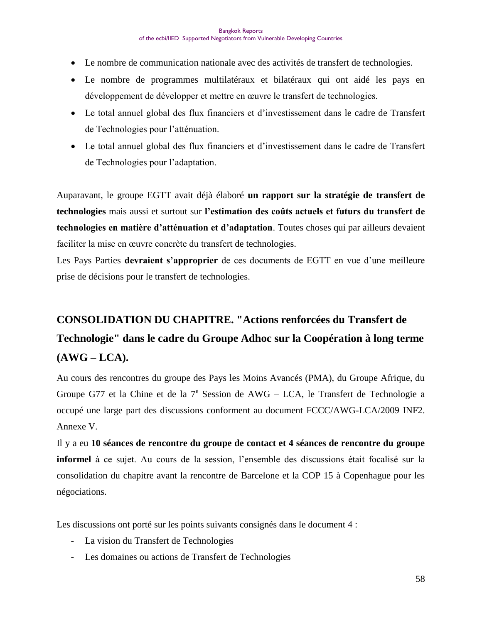- Le nombre de communication nationale avec des activités de transfert de technologies.
- Le nombre de programmes multilatéraux et bilatéraux qui ont aidé les pays en développement de développer et mettre en œuvre le transfert de technologies.
- Le total annuel global des flux financiers et d"investissement dans le cadre de Transfert de Technologies pour l"atténuation.
- Le total annuel global des flux financiers et d"investissement dans le cadre de Transfert de Technologies pour l"adaptation.

Auparavant, le groupe EGTT avait déjà élaboré **un rapport sur la stratégie de transfert de technologies** mais aussi et surtout sur **l'estimation des coûts actuels et futurs du transfert de technologies en matière d'atténuation et d'adaptation**. Toutes choses qui par ailleurs devaient faciliter la mise en œuvre concrète du transfert de technologies.

Les Pays Parties **devraient s'approprier** de ces documents de EGTT en vue d'une meilleure prise de décisions pour le transfert de technologies.

# **CONSOLIDATION DU CHAPITRE. "Actions renforcées du Transfert de Technologie" dans le cadre du Groupe Adhoc sur la Coopération à long terme (AWG – LCA).**

Au cours des rencontres du groupe des Pays les Moins Avancés (PMA), du Groupe Afrique, du Groupe G77 et la Chine et de la  $7^e$  Session de AWG – LCA, le Transfert de Technologie a occupé une large part des discussions conforment au document FCCC/AWG-LCA/2009 INF2. Annexe V.

Il y a eu **10 séances de rencontre du groupe de contact et 4 séances de rencontre du groupe informel** à ce sujet. Au cours de la session, l"ensemble des discussions était focalisé sur la consolidation du chapitre avant la rencontre de Barcelone et la COP 15 à Copenhague pour les négociations.

Les discussions ont porté sur les points suivants consignés dans le document 4 :

- La vision du Transfert de Technologies
- Les domaines ou actions de Transfert de Technologies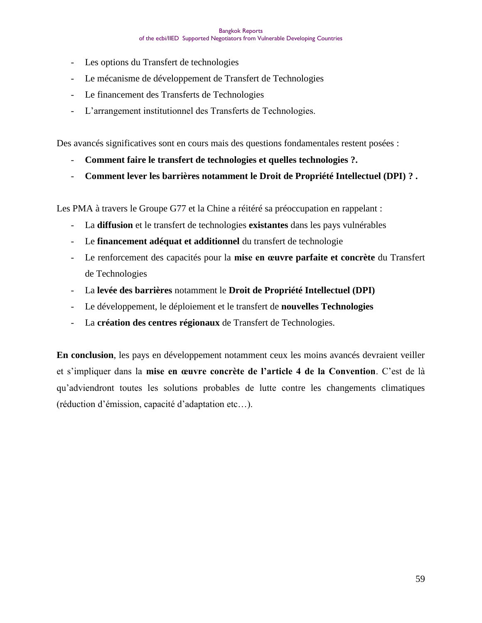- Les options du Transfert de technologies
- Le mécanisme de développement de Transfert de Technologies
- Le financement des Transferts de Technologies
- L"arrangement institutionnel des Transferts de Technologies.

Des avancés significatives sont en cours mais des questions fondamentales restent posées :

- **Comment faire le transfert de technologies et quelles technologies ?.**
- **Comment lever les barrières notamment le Droit de Propriété Intellectuel (DPI) ? .**

Les PMA à travers le Groupe G77 et la Chine a réitéré sa préoccupation en rappelant :

- La **diffusion** et le transfert de technologies **existantes** dans les pays vulnérables
- Le **financement adéquat et additionnel** du transfert de technologie
- Le renforcement des capacités pour la **mise en œuvre parfaite et concrète** du Transfert de Technologies
- La **levée des barrières** notamment le **Droit de Propriété Intellectuel (DPI)**
- Le développement, le déploiement et le transfert de **nouvelles Technologies**
- La **création des centres régionaux** de Transfert de Technologies.

**En conclusion**, les pays en développement notamment ceux les moins avancés devraient veiller et s"impliquer dans la **mise en œuvre concrète de l'article 4 de la Convention**. C"est de là qu"adviendront toutes les solutions probables de lutte contre les changements climatiques (réduction d"émission, capacité d"adaptation etc…).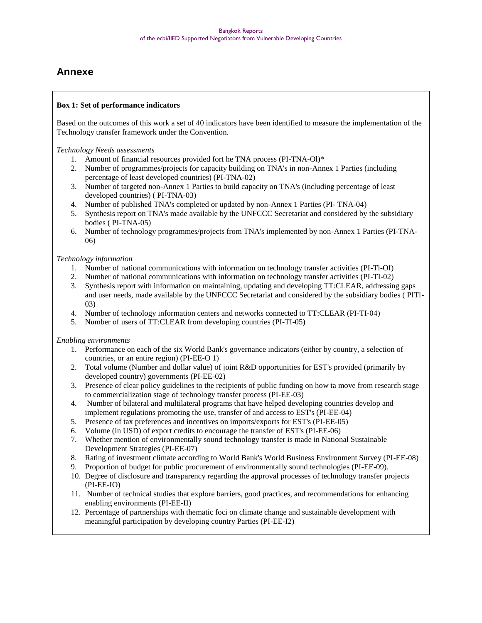# **Annexe**

#### **Box 1: Set of performance indicators**

Based on the outcomes of this work a set of 40 indicators have been identified to measure the implementation of the Technology transfer framework under the Convention.

*Technology Needs assessments*

- 1. Amount of financial resources provided fort he TNA process (PI-TNA-Ol)\*
- 2. Number of programmes/projects for capacity building on TNA's in non-Annex 1 Parties (including percentage of least developed countries) (PI-TNA-02)
- 3. Number of targeted non-Annex 1 Parties to build capacity on TNA's (including percentage of least developed countries) ( PI-TNA-03)
- 4. Number of published TNA's completed or updated by non-Annex 1 Parties (PI- TNA-04)
- 5. Synthesis report on TNA's made available by the UNFCCC Secretariat and considered by the subsidiary bodies ( PI-TNA-05)
- 6. Number of technology programmes/projects from TNA's implemented by non-Annex 1 Parties (PI-TNA-06)

#### *Technology information*

- 1. Number of national communications with information on technology transfer activities (PI-Tl-OI)
- 2. Number of national communications with information on technology transfer activities (PI-TI-02)
- 3. Synthesis report with information on maintaining, updating and developing TT:CLEAR, addressing gaps and user needs, made available by the UNFCCC Secretariat and considered by the subsidiary bodies ( PITl-03)
- 4. Number of technology information centers and networks connected to TT:CLEAR (PI-TI-04)
- 5. Number of users of TT:CLEAR from developing countries (PI-TI-05)

#### *Enabling environments*

- 1. Performance on each of the six World Bank's governance indicators (either by country, a selection of countries, or an entire region) (PI-EE-O 1)
- 2. Total volume (Number and dollar value) of joint R&D opportunities for EST's provided (primarily by developed country) governments (PI-EE-02)
- 3. Presence of clear policy guidelines to the recipients of public funding on how ta move from research stage to commercialization stage of technology transfer process (PI-EE-03)
- 4. Number of bilateral and multilateral programs that have helped developing countries develop and implement regulations promoting the use, transfer of and access to EST's (PI-EE-04)
- 5. Presence of tax preferences and incentives on imports/exports for EST's (PI-EE-05)
- 6. Volume (in USD) of export credits to encourage the transfer of EST's (PI-EE-06)
- 7. Whether mention of environmentally sound technology transfer is made in National Sustainable Development Strategies (PI-EE-07)
- 8. Rating of investment climate according to World Bank's World Business Environment Survey (PI-EE-08)
- 9. Proportion of budget for public procurement of environmentally sound technologies (PI-EE-09).
- 10. Degree of disclosure and transparency regarding the approval processes of technology transfer projects (PI-EE-IO)
- 11. Number of technical studies that explore barriers, good practices, and recommendations for enhancing enabling environments (PI-EE-II)
- 12. Percentage of partnerships with thematic foci on climate change and sustainable development with meaningful participation by developing country Parties (PI-EE-I2)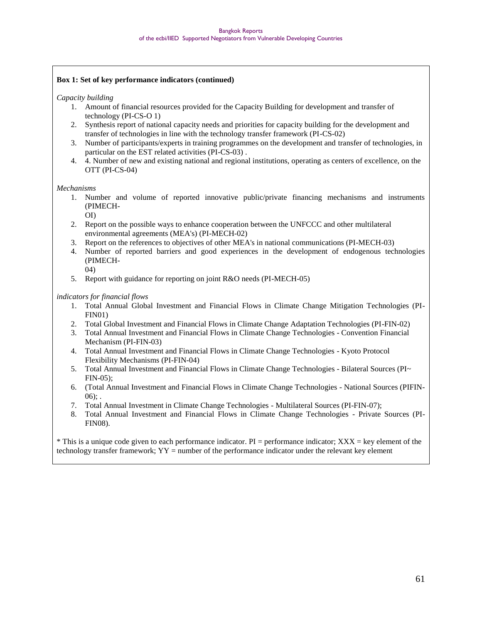#### **Box 1: Set of key performance indicators (continued)**

#### *Capacity building*

- 1. Amount of financial resources provided for the Capacity Building for development and transfer of technology (PI-CS-O 1)
- 2. Synthesis report of national capacity needs and priorities for capacity building for the development and transfer of technologies in line with the technology transfer framework (PI-CS-02)
- 3. Number of participants/experts in training programmes on the development and transfer of technologies, in particular on the EST related activities (PI-CS-03) .
- 4. 4. Number of new and existing national and regional institutions, operating as centers of excellence, on the OTT (PI-CS-04)

#### *Mechanisms*

- 1. Number and volume of reported innovative public/private financing mechanisms and instruments (PIMECH-
- OI) 2. Report on the possible ways to enhance cooperation between the UNFCCC and other multilateral environmental agreements (MEA's) (PI-MECH-02)
	- 3. Report on the references to objectives of other MEA's in national communications (PI-MECH-03)
	- 4. Number of reported barriers and good experiences in the development of endogenous technologies (PIMECH-04)
	- 5. Report with guidance for reporting on joint R&O needs (PI-MECH-05)

#### *indicators for financial flows*

- 1. Total Annual Global Investment and Financial Flows in Climate Change Mitigation Technologies (PI-FIN01)
- 2. Total Global Investment and Financial Flows in Climate Change Adaptation Technologies (PI-FIN-02)
- 3. Total Annual Investment and Financial Flows in Climate Change Technologies Convention Financial Mechanism (PI-FIN-03)
- 4. Total Annual Investment and Financial Flows in Climate Change Technologies Kyoto Protocol Flexibility Mechanisms (PI-FIN-04)
- 5. Total Annual Investment and Financial Flows in Climate Change Technologies Bilateral Sources (PI~ FIN-05);
- 6. (Total Annual Investment and Financial Flows in Climate Change Technologies National Sources (PIFIN- $06$ :.
- 7. Total Annual Investment in Climate Change Technologies Multilateral Sources (PI-FIN-07);
- 8. Total Annual Investment and Financial Flows in Climate Change Technologies Private Sources (PI-FIN08).

 $*$  This is a unique code given to each performance indicator. PI = performance indicator;  $XXX = \text{key}$  element of the technology transfer framework; YY = number of the performance indicator under the relevant key element